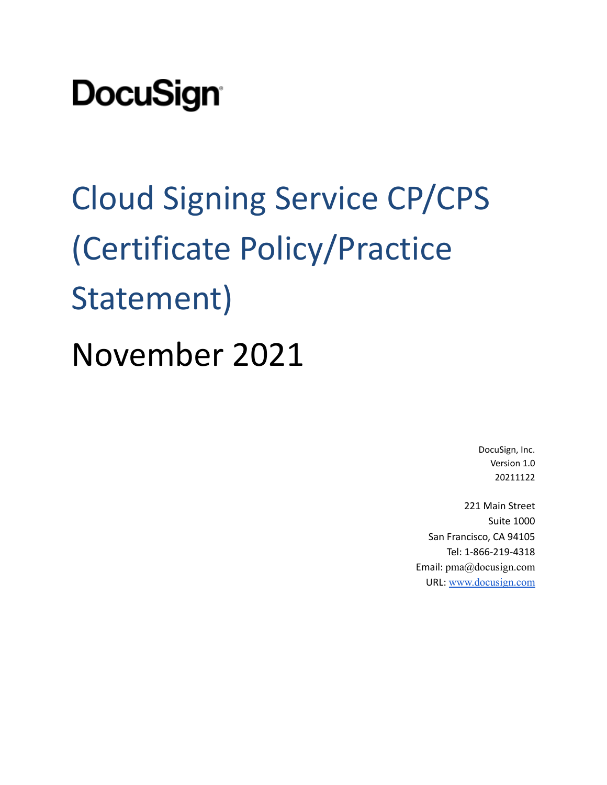# **DocuSign**

Cloud Signing Service CP/CPS (Certificate Policy/Practice Statement) November 2021

> DocuSign, Inc. Version 1.0 20211122

221 Main Street Suite 1000 San Francisco, CA 94105 Tel: 1-866-219-4318 Email: pma@docusign.com URL: [www.docusign.com](http://www.docusign.com)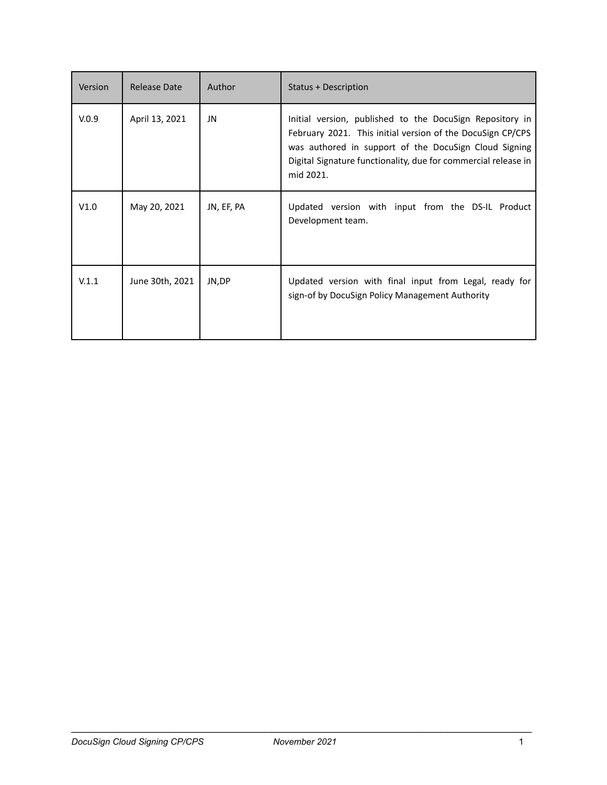| Version | Release Date    | Author     | <b>Status + Description</b>                                                                                                                                                                                                                                    |
|---------|-----------------|------------|----------------------------------------------------------------------------------------------------------------------------------------------------------------------------------------------------------------------------------------------------------------|
| V.0.9   | April 13, 2021  | JN         | Initial version, published to the DocuSign Repository in<br>February 2021. This initial version of the DocuSign CP/CPS<br>was authored in support of the DocuSign Cloud Signing<br>Digital Signature functionality, due for commercial release in<br>mid 2021. |
| V1.0    | May 20, 2021    | JN, EF, PA | Updated version with input from the DS-IL Product<br>Development team.                                                                                                                                                                                         |
| V.1.1   | June 30th, 2021 | JN,DP      | Updated version with final input from Legal, ready for<br>sign-of by DocuSign Policy Management Authority                                                                                                                                                      |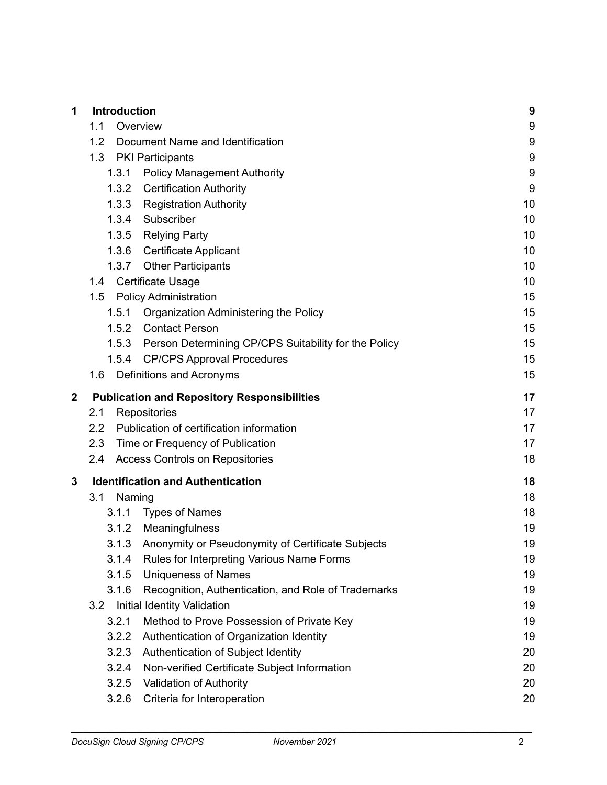| 1           | Introduction                                                 | 9                |
|-------------|--------------------------------------------------------------|------------------|
|             | 1.1<br>Overview                                              | 9                |
|             | 1.2<br>Document Name and Identification                      | $9\,$            |
|             | 1.3<br><b>PKI Participants</b>                               | $\boldsymbol{9}$ |
|             | <b>Policy Management Authority</b><br>1.3.1                  | $9\,$            |
|             | <b>Certification Authority</b><br>1.3.2                      | 9                |
|             | 1.3.3 Registration Authority                                 | 10               |
|             | 1.3.4 Subscriber                                             | 10               |
|             | 1.3.5 Relying Party                                          | 10               |
|             | 1.3.6 Certificate Applicant                                  | 10               |
|             | 1.3.7 Other Participants                                     | 10               |
|             | Certificate Usage<br>1.4                                     | 10               |
|             | <b>Policy Administration</b><br>1.5                          | 15               |
|             | Organization Administering the Policy<br>1.5.1               | 15               |
|             | 1.5.2 Contact Person                                         | 15               |
|             | 1.5.3 Person Determining CP/CPS Suitability for the Policy   | 15               |
|             | 1.5.4 CP/CPS Approval Procedures                             | 15               |
|             | Definitions and Acronyms<br>1.6                              | 15               |
| $\mathbf 2$ | <b>Publication and Repository Responsibilities</b>           | 17               |
|             | 2.1<br>Repositories                                          | 17               |
|             | Publication of certification information<br>$2.2\phantom{0}$ | 17               |
|             | 2.3<br>Time or Frequency of Publication                      | 17               |
|             | 2.4<br><b>Access Controls on Repositories</b>                | 18               |
| 3           | <b>Identification and Authentication</b>                     | 18               |
|             | 3.1<br>Naming                                                | 18               |
|             | <b>Types of Names</b><br>3.1.1                               | 18               |
|             | Meaningfulness<br>3.1.2                                      | 19               |
|             | 3.1.3 Anonymity or Pseudonymity of Certificate Subjects      | 19               |
|             | Rules for Interpreting Various Name Forms<br>3.1.4           | 19               |
|             | 3.1.5<br><b>Uniqueness of Names</b>                          | 19               |
|             | 3.1.6<br>Recognition, Authentication, and Role of Trademarks | 19               |
|             | <b>Initial Identity Validation</b><br>3.2                    | 19               |
|             | 3.2.1<br>Method to Prove Possession of Private Key           | 19               |
|             | Authentication of Organization Identity<br>3.2.2             | 19               |
|             | 3.2.3<br>Authentication of Subject Identity                  | 20               |
|             | Non-verified Certificate Subject Information<br>3.2.4        | 20               |
|             | 3.2.5<br><b>Validation of Authority</b>                      | 20               |
|             | Criteria for Interoperation<br>3.2.6                         | 20               |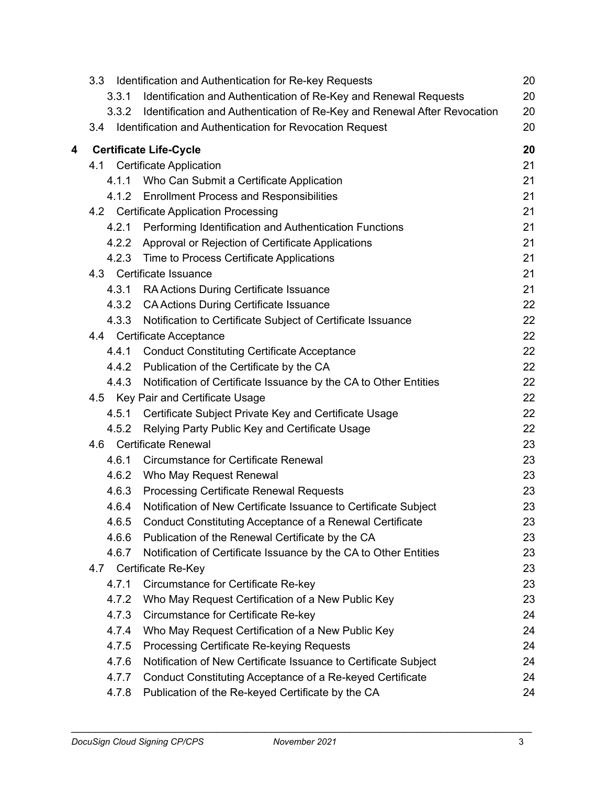|   | Identification and Authentication for Re-key Requests<br>3.3                      | 20 |
|---|-----------------------------------------------------------------------------------|----|
|   | Identification and Authentication of Re-Key and Renewal Requests<br>3.3.1         | 20 |
|   | Identification and Authentication of Re-Key and Renewal After Revocation<br>3.3.2 | 20 |
|   | Identification and Authentication for Revocation Request<br>3.4                   | 20 |
| 4 | <b>Certificate Life-Cycle</b>                                                     | 20 |
|   | 4.1 Certificate Application                                                       | 21 |
|   | Who Can Submit a Certificate Application<br>4.1.1                                 | 21 |
|   | <b>Enrollment Process and Responsibilities</b><br>4.1.2                           | 21 |
|   | 4.2 Certificate Application Processing                                            | 21 |
|   | Performing Identification and Authentication Functions<br>4.2.1                   | 21 |
|   | 4.2.2 Approval or Rejection of Certificate Applications                           | 21 |
|   | 4.2.3 Time to Process Certificate Applications                                    | 21 |
|   | 4.3 Certificate Issuance                                                          | 21 |
|   | 4.3.1<br>RA Actions During Certificate Issuance                                   | 21 |
|   | <b>CA Actions During Certificate Issuance</b><br>4.3.2                            | 22 |
|   | 4.3.3<br>Notification to Certificate Subject of Certificate Issuance              | 22 |
|   | 4.4 Certificate Acceptance                                                        | 22 |
|   | <b>Conduct Constituting Certificate Acceptance</b><br>4.4.1                       | 22 |
|   | Publication of the Certificate by the CA<br>4.4.2                                 | 22 |
|   | Notification of Certificate Issuance by the CA to Other Entities<br>4.4.3         | 22 |
|   | 4.5 Key Pair and Certificate Usage                                                | 22 |
|   | Certificate Subject Private Key and Certificate Usage<br>4.5.1                    | 22 |
|   | Relying Party Public Key and Certificate Usage<br>4.5.2                           | 22 |
|   | <b>Certificate Renewal</b><br>4.6                                                 | 23 |
|   | <b>Circumstance for Certificate Renewal</b><br>4.6.1                              | 23 |
|   | 4.6.2<br>Who May Request Renewal                                                  | 23 |
|   | <b>Processing Certificate Renewal Requests</b><br>4.6.3                           | 23 |
|   | Notification of New Certificate Issuance to Certificate Subject<br>4.6.4          | 23 |
|   | Conduct Constituting Acceptance of a Renewal Certificate<br>4.6.5                 | 23 |
|   | Publication of the Renewal Certificate by the CA<br>4.6.6                         | 23 |
|   | 4.6.7<br>Notification of Certificate Issuance by the CA to Other Entities         | 23 |
|   | Certificate Re-Key<br>4.7                                                         | 23 |
|   | 4.7.1<br>Circumstance for Certificate Re-key                                      | 23 |
|   | Who May Request Certification of a New Public Key<br>4.7.2                        | 23 |
|   | 4.7.3<br>Circumstance for Certificate Re-key                                      | 24 |
|   | 4.7.4<br>Who May Request Certification of a New Public Key                        | 24 |
|   | 4.7.5<br><b>Processing Certificate Re-keying Requests</b>                         | 24 |
|   | 4.7.6<br>Notification of New Certificate Issuance to Certificate Subject          | 24 |
|   | 4.7.7<br>Conduct Constituting Acceptance of a Re-keyed Certificate                | 24 |
|   | 4.7.8<br>Publication of the Re-keyed Certificate by the CA                        | 24 |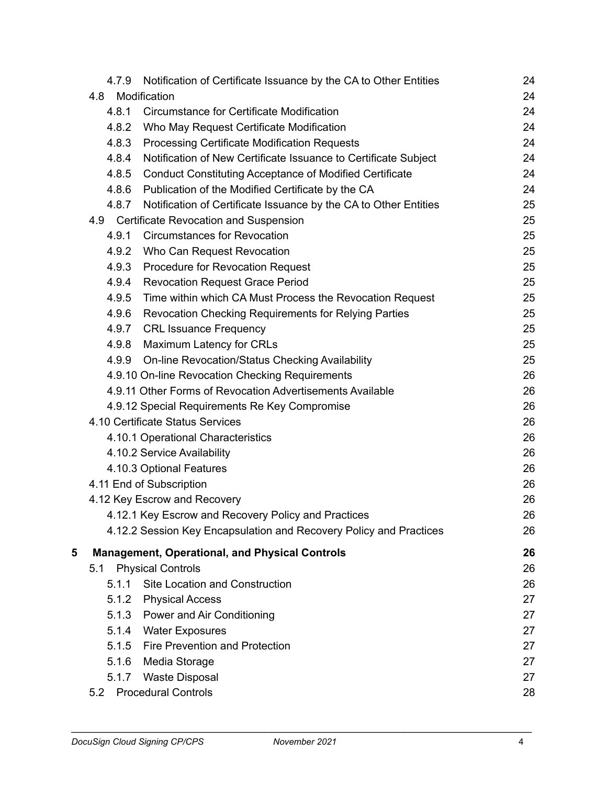|   | 4.7.9 | Notification of Certificate Issuance by the CA to Other Entities   | 24 |
|---|-------|--------------------------------------------------------------------|----|
|   | 4.8   | Modification                                                       | 24 |
|   | 4.8.1 | Circumstance for Certificate Modification                          | 24 |
|   | 4.8.2 | Who May Request Certificate Modification                           | 24 |
|   | 4.8.3 | <b>Processing Certificate Modification Requests</b>                | 24 |
|   | 4.8.4 | Notification of New Certificate Issuance to Certificate Subject    | 24 |
|   | 4.8.5 | <b>Conduct Constituting Acceptance of Modified Certificate</b>     | 24 |
|   | 4.8.6 | Publication of the Modified Certificate by the CA                  | 24 |
|   | 4.8.7 | Notification of Certificate Issuance by the CA to Other Entities   | 25 |
|   | 4.9   | <b>Certificate Revocation and Suspension</b>                       | 25 |
|   | 4.9.1 | <b>Circumstances for Revocation</b>                                | 25 |
|   | 4.9.2 | Who Can Request Revocation                                         | 25 |
|   | 4.9.3 | <b>Procedure for Revocation Request</b>                            | 25 |
|   | 4.9.4 | <b>Revocation Request Grace Period</b>                             | 25 |
|   | 4.9.5 | Time within which CA Must Process the Revocation Request           | 25 |
|   | 4.9.6 | <b>Revocation Checking Requirements for Relying Parties</b>        | 25 |
|   | 4.9.7 | <b>CRL Issuance Frequency</b>                                      | 25 |
|   | 4.9.8 | Maximum Latency for CRLs                                           | 25 |
|   | 4.9.9 | On-line Revocation/Status Checking Availability                    | 25 |
|   |       | 4.9.10 On-line Revocation Checking Requirements                    | 26 |
|   |       | 4.9.11 Other Forms of Revocation Advertisements Available          | 26 |
|   |       | 4.9.12 Special Requirements Re Key Compromise                      | 26 |
|   |       | 4.10 Certificate Status Services                                   | 26 |
|   |       | 4.10.1 Operational Characteristics                                 | 26 |
|   |       | 4.10.2 Service Availability                                        | 26 |
|   |       | 4.10.3 Optional Features                                           | 26 |
|   |       | 4.11 End of Subscription                                           | 26 |
|   |       | 4.12 Key Escrow and Recovery                                       | 26 |
|   |       | 4.12.1 Key Escrow and Recovery Policy and Practices                | 26 |
|   |       | 4.12.2 Session Key Encapsulation and Recovery Policy and Practices | 26 |
| 5 |       | <b>Management, Operational, and Physical Controls</b>              | 26 |
|   | 5.1   | <b>Physical Controls</b>                                           | 26 |
|   | 5.1.1 | Site Location and Construction                                     | 26 |
|   | 5.1.2 | <b>Physical Access</b>                                             | 27 |
|   |       | 5.1.3 Power and Air Conditioning                                   | 27 |
|   | 5.1.4 | <b>Water Exposures</b>                                             | 27 |
|   | 5.1.5 | Fire Prevention and Protection                                     | 27 |
|   | 5.1.6 | Media Storage                                                      | 27 |
|   | 5.1.7 | <b>Waste Disposal</b>                                              | 27 |
|   | 5.2   | <b>Procedural Controls</b>                                         | 28 |
|   |       |                                                                    |    |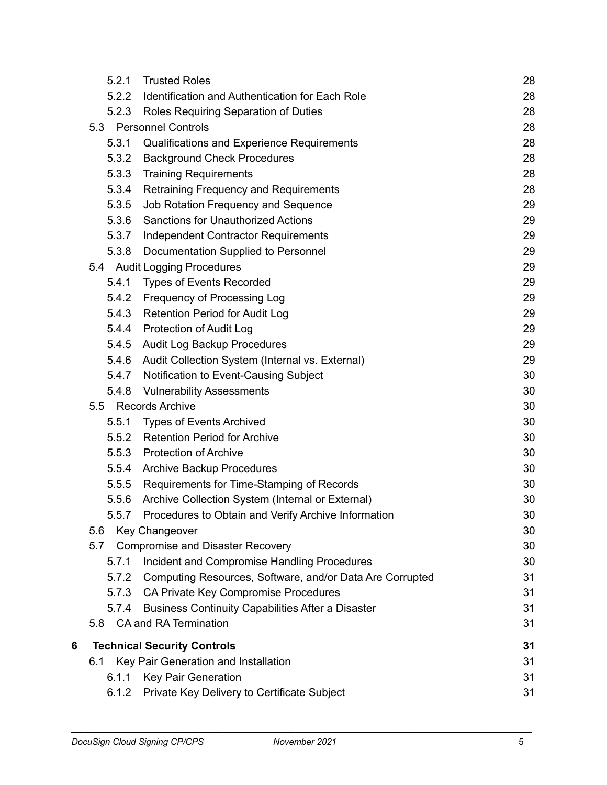|   | 5.2.1 | <b>Trusted Roles</b>                                     | 28 |
|---|-------|----------------------------------------------------------|----|
|   | 5.2.2 | Identification and Authentication for Each Role          | 28 |
|   | 5.2.3 | Roles Requiring Separation of Duties                     | 28 |
|   |       | 5.3 Personnel Controls                                   | 28 |
|   | 5.3.1 | Qualifications and Experience Requirements               | 28 |
|   | 5.3.2 | <b>Background Check Procedures</b>                       | 28 |
|   | 5.3.3 | <b>Training Requirements</b>                             | 28 |
|   | 5.3.4 | Retraining Frequency and Requirements                    | 28 |
|   | 5.3.5 | Job Rotation Frequency and Sequence                      | 29 |
|   | 5.3.6 | <b>Sanctions for Unauthorized Actions</b>                | 29 |
|   | 5.3.7 | <b>Independent Contractor Requirements</b>               | 29 |
|   | 5.3.8 | Documentation Supplied to Personnel                      | 29 |
|   |       | 5.4 Audit Logging Procedures                             | 29 |
|   | 5.4.1 | <b>Types of Events Recorded</b>                          | 29 |
|   | 5.4.2 | Frequency of Processing Log                              | 29 |
|   | 5.4.3 | <b>Retention Period for Audit Log</b>                    | 29 |
|   | 5.4.4 | <b>Protection of Audit Log</b>                           | 29 |
|   | 5.4.5 | Audit Log Backup Procedures                              | 29 |
|   | 5.4.6 | Audit Collection System (Internal vs. External)          | 29 |
|   | 5.4.7 | Notification to Event-Causing Subject                    | 30 |
|   | 5.4.8 | <b>Vulnerability Assessments</b>                         | 30 |
|   | 5.5   | <b>Records Archive</b>                                   | 30 |
|   | 5.5.1 | <b>Types of Events Archived</b>                          | 30 |
|   | 5.5.2 | <b>Retention Period for Archive</b>                      | 30 |
|   | 5.5.3 | <b>Protection of Archive</b>                             | 30 |
|   | 5.5.4 | <b>Archive Backup Procedures</b>                         | 30 |
|   | 5.5.5 | Requirements for Time-Stamping of Records                | 30 |
|   | 5.5.6 | Archive Collection System (Internal or External)         | 30 |
|   | 5.5.7 | Procedures to Obtain and Verify Archive Information      | 30 |
|   | 5.6   | <b>Key Changeover</b>                                    | 30 |
|   | 5.7   | <b>Compromise and Disaster Recovery</b>                  | 30 |
|   | 5.7.1 | Incident and Compromise Handling Procedures              | 30 |
|   | 5.7.2 | Computing Resources, Software, and/or Data Are Corrupted | 31 |
|   | 5.7.3 | CA Private Key Compromise Procedures                     | 31 |
|   | 5.7.4 | <b>Business Continuity Capabilities After a Disaster</b> | 31 |
|   |       | 5.8 CA and RA Termination                                | 31 |
| 6 |       | <b>Technical Security Controls</b>                       | 31 |
|   | 6.1   | Key Pair Generation and Installation                     | 31 |
|   | 6.1.1 | <b>Key Pair Generation</b>                               | 31 |
|   | 6.1.2 | Private Key Delivery to Certificate Subject              | 31 |
|   |       |                                                          |    |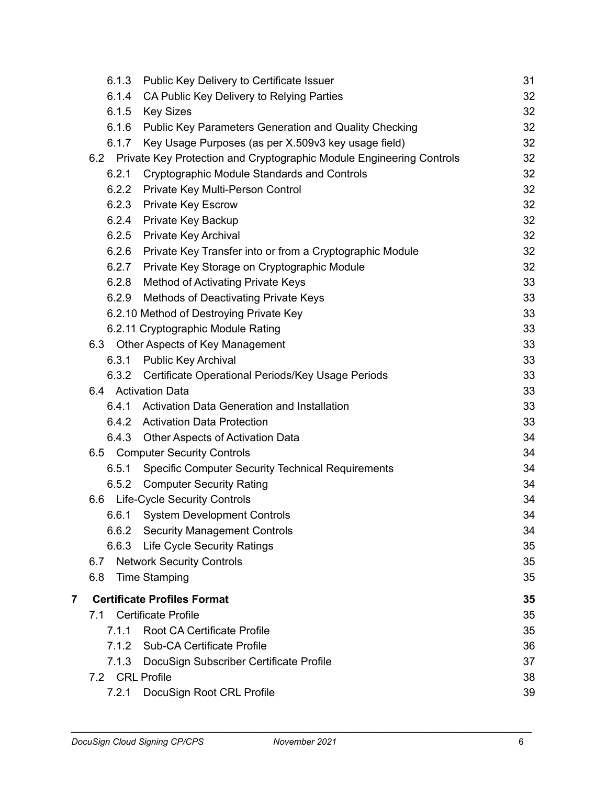|   | 6.1.3           | Public Key Delivery to Certificate Issuer                                | 31 |
|---|-----------------|--------------------------------------------------------------------------|----|
|   | 6.1.4           | CA Public Key Delivery to Relying Parties                                | 32 |
|   | 6.1.5           | <b>Key Sizes</b>                                                         | 32 |
|   | 6.1.6           | Public Key Parameters Generation and Quality Checking                    | 32 |
|   | 6.1.7           | Key Usage Purposes (as per X.509v3 key usage field)                      | 32 |
|   |                 | 6.2 Private Key Protection and Cryptographic Module Engineering Controls | 32 |
|   | 6.2.1           | <b>Cryptographic Module Standards and Controls</b>                       | 32 |
|   | 6.2.2           | Private Key Multi-Person Control                                         | 32 |
|   | 6.2.3           | <b>Private Key Escrow</b>                                                | 32 |
|   | 6.2.4           | Private Key Backup                                                       | 32 |
|   | 6.2.5           | Private Key Archival                                                     | 32 |
|   | 6.2.6           | Private Key Transfer into or from a Cryptographic Module                 | 32 |
|   | 6.2.7           | Private Key Storage on Cryptographic Module                              | 32 |
|   | 6.2.8           | Method of Activating Private Keys                                        | 33 |
|   | 6.2.9           | Methods of Deactivating Private Keys                                     | 33 |
|   |                 | 6.2.10 Method of Destroying Private Key                                  | 33 |
|   |                 | 6.2.11 Cryptographic Module Rating                                       | 33 |
|   |                 | 6.3 Other Aspects of Key Management                                      | 33 |
|   | 6.3.1           | <b>Public Key Archival</b>                                               | 33 |
|   | 6.3.2           | Certificate Operational Periods/Key Usage Periods                        | 33 |
|   |                 | 6.4 Activation Data                                                      | 33 |
|   | 6.4.1           | <b>Activation Data Generation and Installation</b>                       | 33 |
|   | 6.4.2           | <b>Activation Data Protection</b>                                        | 33 |
|   |                 | 6.4.3 Other Aspects of Activation Data                                   | 34 |
|   |                 | 6.5 Computer Security Controls                                           | 34 |
|   | 6.5.1           | <b>Specific Computer Security Technical Requirements</b>                 | 34 |
|   | 6.5.2           | <b>Computer Security Rating</b>                                          | 34 |
|   |                 | 6.6 Life-Cycle Security Controls                                         | 34 |
|   | 6.6.1           | <b>System Development Controls</b>                                       | 34 |
|   | 6.6.2           | <b>Security Management Controls</b>                                      | 34 |
|   | 6.6.3           | <b>Life Cycle Security Ratings</b>                                       | 35 |
|   | 6.7             | <b>Network Security Controls</b>                                         | 35 |
|   | 6.8             | <b>Time Stamping</b>                                                     | 35 |
| 7 |                 | <b>Certificate Profiles Format</b>                                       | 35 |
|   | 7.1             | <b>Certificate Profile</b>                                               | 35 |
|   | 7.1.1           | <b>Root CA Certificate Profile</b>                                       | 35 |
|   | 7.1.2           | <b>Sub-CA Certificate Profile</b>                                        | 36 |
|   | 7.1.3           | DocuSign Subscriber Certificate Profile                                  | 37 |
|   | 7.2 CRL Profile |                                                                          | 38 |
|   | 7.2.1           | DocuSign Root CRL Profile                                                | 39 |
|   |                 |                                                                          |    |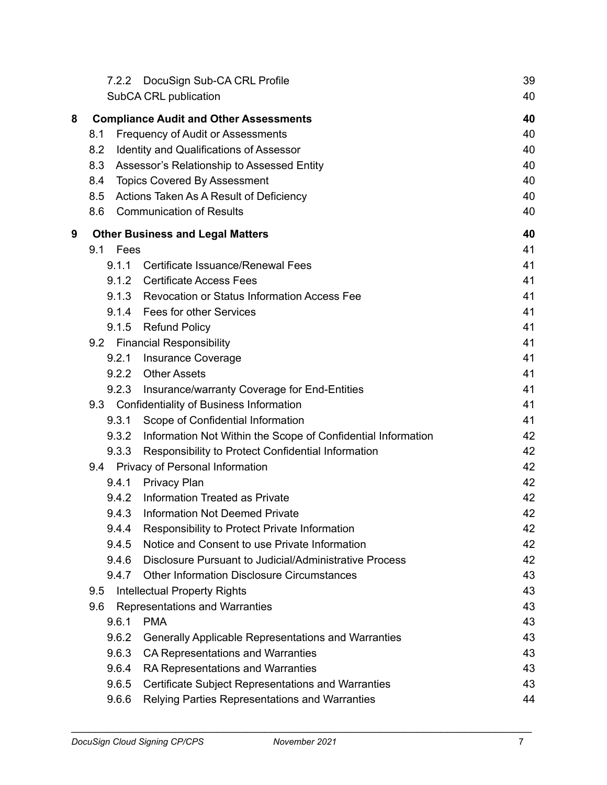|   | 7.2.2          | DocuSign Sub-CA CRL Profile<br>SubCA CRL publication                       | 39<br>40 |
|---|----------------|----------------------------------------------------------------------------|----------|
|   |                |                                                                            |          |
| 8 |                | <b>Compliance Audit and Other Assessments</b>                              | 40       |
|   | 8.1            | <b>Frequency of Audit or Assessments</b>                                   | 40       |
|   | 8.2            | <b>Identity and Qualifications of Assessor</b>                             | 40       |
|   | 8.3            | Assessor's Relationship to Assessed Entity                                 | 40       |
|   | 8.4            | <b>Topics Covered By Assessment</b>                                        | 40       |
|   | 8.5            | Actions Taken As A Result of Deficiency<br><b>Communication of Results</b> | 40       |
|   | 8.6            |                                                                            | 40       |
| 9 |                | <b>Other Business and Legal Matters</b>                                    | 40       |
|   | 9.1 Fees       |                                                                            | 41       |
|   | 9.1.1          | Certificate Issuance/Renewal Fees                                          | 41       |
|   | 9.1.2          | <b>Certificate Access Fees</b>                                             | 41       |
|   | 9.1.3          | <b>Revocation or Status Information Access Fee</b>                         | 41       |
|   | 9.1.4          | Fees for other Services                                                    | 41       |
|   |                | 9.1.5 Refund Policy                                                        | 41       |
|   |                | 9.2 Financial Responsibility                                               | 41       |
|   | 9.2.1          | <b>Insurance Coverage</b>                                                  | 41       |
|   |                | 9.2.2 Other Assets                                                         | 41       |
|   | 9.2.3          | Insurance/warranty Coverage for End-Entities                               | 41       |
|   |                | 9.3 Confidentiality of Business Information                                | 41       |
|   | 9.3.1          | Scope of Confidential Information                                          | 41       |
|   | 9.3.2          | Information Not Within the Scope of Confidential Information               | 42       |
|   | 9.3.3          | Responsibility to Protect Confidential Information                         | 42       |
|   |                | 9.4 Privacy of Personal Information                                        | 42<br>42 |
|   | 9.4.1<br>9.4.2 | <b>Privacy Plan</b><br>Information Treated as Private                      | 42       |
|   | 9.4.3          | <b>Information Not Deemed Private</b>                                      | 42       |
|   | 9.4.4          | Responsibility to Protect Private Information                              | 42       |
|   | 9.4.5          | Notice and Consent to use Private Information                              | 42       |
|   | 9.4.6          | Disclosure Pursuant to Judicial/Administrative Process                     | 42       |
|   | 9.4.7          | <b>Other Information Disclosure Circumstances</b>                          | 43       |
|   | 9.5            | <b>Intellectual Property Rights</b>                                        | 43       |
|   | 9.6            | Representations and Warranties                                             | 43       |
|   | 9.6.1          | <b>PMA</b>                                                                 | 43       |
|   | 9.6.2          | Generally Applicable Representations and Warranties                        | 43       |
|   | 9.6.3          | CA Representations and Warranties                                          | 43       |
|   | 9.6.4          | RA Representations and Warranties                                          | 43       |
|   | 9.6.5          | Certificate Subject Representations and Warranties                         | 43       |
|   | 9.6.6          | Relying Parties Representations and Warranties                             | 44       |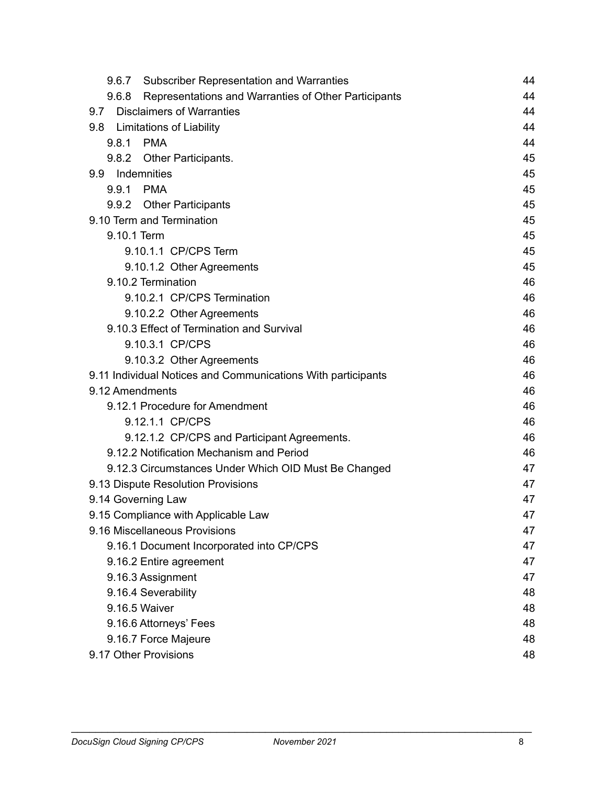| <b>Subscriber Representation and Warranties</b><br>9.6.7      | 44 |
|---------------------------------------------------------------|----|
| Representations and Warranties of Other Participants<br>9.6.8 | 44 |
| <b>Disclaimers of Warranties</b><br>9.7                       | 44 |
| 9.8 Limitations of Liability                                  | 44 |
| 9.8.1 PMA                                                     | 44 |
| 9.8.2 Other Participants.                                     | 45 |
| 9.9 Indemnities                                               | 45 |
| 9.9.1 PMA                                                     | 45 |
| 9.9.2 Other Participants                                      | 45 |
| 9.10 Term and Termination                                     | 45 |
| 9.10.1 Term                                                   | 45 |
| 9.10.1.1 CP/CPS Term                                          | 45 |
| 9.10.1.2 Other Agreements                                     | 45 |
| 9.10.2 Termination                                            | 46 |
| 9.10.2.1 CP/CPS Termination                                   | 46 |
| 9.10.2.2 Other Agreements                                     | 46 |
| 9.10.3 Effect of Termination and Survival                     | 46 |
| 9.10.3.1 CP/CPS                                               | 46 |
| 9.10.3.2 Other Agreements                                     | 46 |
| 9.11 Individual Notices and Communications With participants  | 46 |
| 9.12 Amendments                                               | 46 |
| 9.12.1 Procedure for Amendment                                | 46 |
| 9.12.1.1 CP/CPS                                               | 46 |
| 9.12.1.2 CP/CPS and Participant Agreements.                   | 46 |
| 9.12.2 Notification Mechanism and Period                      | 46 |
| 9.12.3 Circumstances Under Which OID Must Be Changed          | 47 |
| 9.13 Dispute Resolution Provisions                            | 47 |
| 9.14 Governing Law                                            | 47 |
| 9.15 Compliance with Applicable Law                           | 47 |
| 9.16 Miscellaneous Provisions                                 | 47 |
| 9.16.1 Document Incorporated into CP/CPS                      | 47 |
| 9.16.2 Entire agreement                                       | 47 |
| 9.16.3 Assignment                                             | 47 |
| 9.16.4 Severability                                           | 48 |
| 9.16.5 Waiver                                                 | 48 |
| 9.16.6 Attorneys' Fees                                        | 48 |
| 9.16.7 Force Majeure                                          | 48 |
| 9.17 Other Provisions                                         | 48 |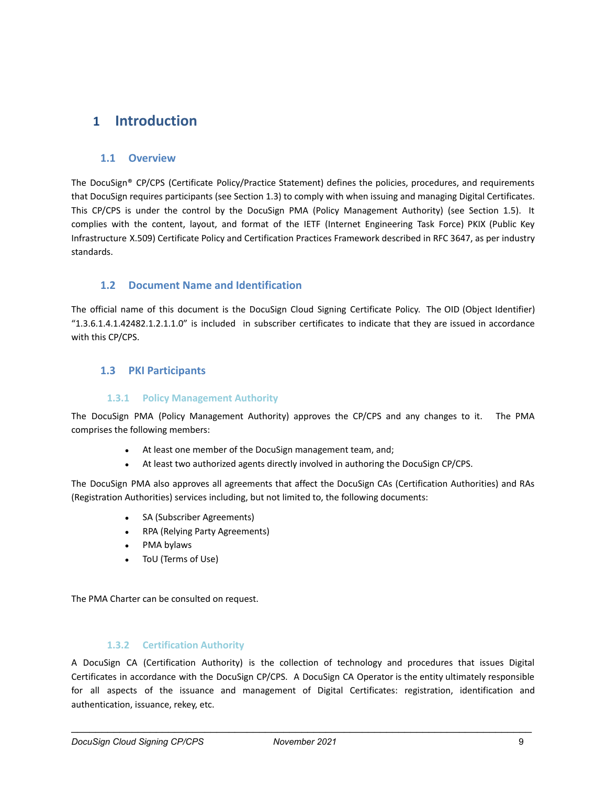# <span id="page-9-0"></span>**1 Introduction**

# <span id="page-9-1"></span>**1.1 Overview**

The DocuSign® CP/CPS (Certificate Policy/Practice Statement) defines the policies, procedures, and requirements that DocuSign requires participants (see Section 1.3) to comply with when issuing and managing Digital Certificates. This CP/CPS is under the control by the DocuSign PMA (Policy Management Authority) (see Section 1.5). It complies with the content, layout, and format of the IETF (Internet Engineering Task Force) PKIX (Public Key Infrastructure X.509) Certificate Policy and Certification Practices Framework described in RFC 3647, as per industry standards.

# <span id="page-9-2"></span>**1.2 Document Name and Identification**

The official name of this document is the DocuSign Cloud Signing Certificate Policy. The OID (Object Identifier) "1.3.6.1.4.1.42482.1.2.1.1.0" is included in subscriber certificates to indicate that they are issued in accordance with this CP/CPS.

# <span id="page-9-3"></span>**1.3 PKI Participants**

#### **1.3.1 Policy Management Authority**

<span id="page-9-4"></span>The DocuSign PMA (Policy Management Authority) approves the CP/CPS and any changes to it. The PMA comprises the following members:

- At least one member of the DocuSign management team, and;
- At least two authorized agents directly involved in authoring the DocuSign CP/CPS.

The DocuSign PMA also approves all agreements that affect the DocuSign CAs (Certification Authorities) and RAs (Registration Authorities) services including, but not limited to, the following documents:

- SA (Subscriber Agreements)
- RPA (Relying Party Agreements)
- PMA bylaws
- ToU (Terms of Use)

The PMA Charter can be consulted on request.

#### **1.3.2 Certification Authority**

<span id="page-9-5"></span>A DocuSign CA (Certification Authority) is the collection of technology and procedures that issues Digital Certificates in accordance with the DocuSign CP/CPS. A DocuSign CA Operator is the entity ultimately responsible for all aspects of the issuance and management of Digital Certificates: registration, identification and authentication, issuance, rekey, etc.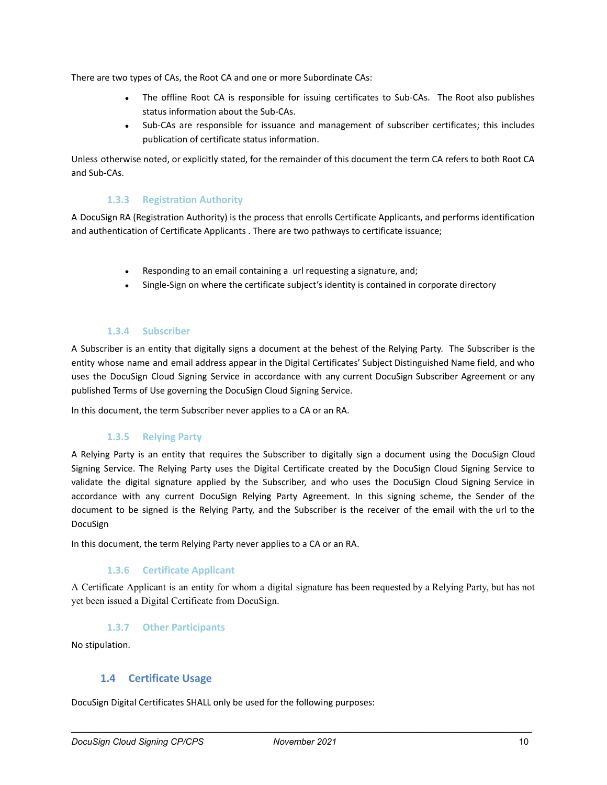There are two types of CAs, the Root CA and one or more Subordinate CAs:

- The offline Root CA is responsible for issuing certificates to Sub-CAs. The Root also publishes status information about the Sub-CAs.
- Sub-CAs are responsible for issuance and management of subscriber certificates; this includes publication of certificate status information.

Unless otherwise noted, or explicitly stated, for the remainder of this document the term CA refers to both Root CA and Sub-CAs.

#### **1.3.3 Registration Authority**

<span id="page-10-0"></span>A DocuSign RA (Registration Authority) is the process that enrolls Certificate Applicants, and performs identification and authentication of Certificate Applicants . There are two pathways to certificate issuance;

- Responding to an email containing a url requesting a signature, and;
- Single-Sign on where the certificate subject's identity is contained in corporate directory

#### **1.3.4 Subscriber**

<span id="page-10-1"></span>A Subscriber is an entity that digitally signs a document at the behest of the Relying Party. The Subscriber is the entity whose name and email address appear in the Digital Certificates' Subject Distinguished Name field, and who uses the DocuSign Cloud Signing Service in accordance with any current DocuSign Subscriber Agreement or any published Terms of Use governing the DocuSign Cloud Signing Service.

<span id="page-10-2"></span>In this document, the term Subscriber never applies to a CA or an RA.

### **1.3.5 Relying Party**

A Relying Party is an entity that requires the Subscriber to digitally sign a document using the DocuSign Cloud Signing Service. The Relying Party uses the Digital Certificate created by the DocuSign Cloud Signing Service to validate the digital signature applied by the Subscriber, and who uses the DocuSign Cloud Signing Service in accordance with any current DocuSign Relying Party Agreement. In this signing scheme, the Sender of the document to be signed is the Relying Party, and the Subscriber is the receiver of the email with the url to the DocuSign

<span id="page-10-3"></span>In this document, the term Relying Party never applies to a CA or an RA.

#### **1.3.6 Certificate Applicant**

A Certificate Applicant is an entity for whom a digital signature has been requested by a Relying Party, but has not yet been issued a Digital Certificate from DocuSign.

#### **1.3.7 Other Participants**

<span id="page-10-5"></span><span id="page-10-4"></span>No stipulation.

### **1.4 Certificate Usage**

DocuSign Digital Certificates SHALL only be used for the following purposes: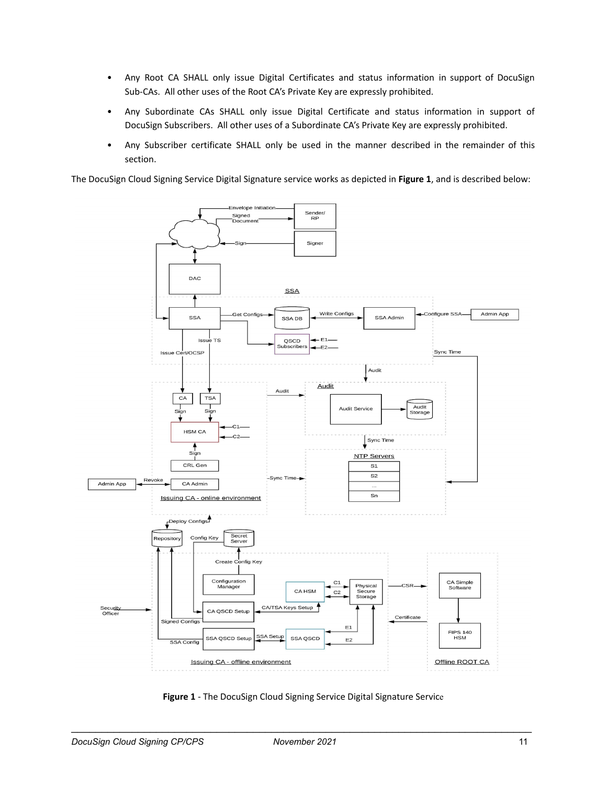- Any Root CA SHALL only issue Digital Certificates and status information in support of DocuSign Sub-CAs. All other uses of the Root CA's Private Key are expressly prohibited.
- Any Subordinate CAs SHALL only issue Digital Certificate and status information in support of DocuSign Subscribers. All other uses of a Subordinate CA's Private Key are expressly prohibited.
- Any Subscriber certificate SHALL only be used in the manner described in the remainder of this section.

The DocuSign Cloud Signing Service Digital Signature service works as depicted in **Figure 1**, and is described below:



**Figure 1** - The DocuSign Cloud Signing Service Digital Signature Service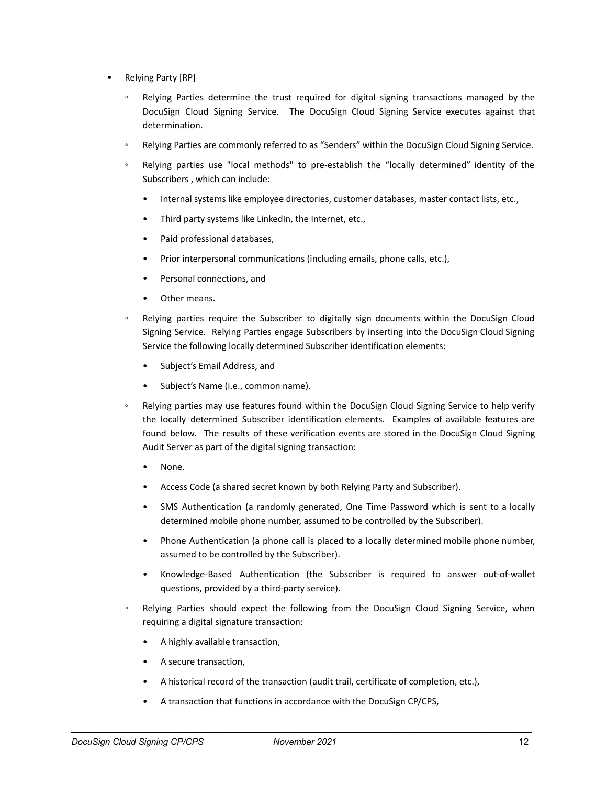- Relying Party [RP]
	- Relying Parties determine the trust required for digital signing transactions managed by the DocuSign Cloud Signing Service. The DocuSign Cloud Signing Service executes against that determination.
	- Relying Parties are commonly referred to as "Senders" within the DocuSign Cloud Signing Service.
	- Relying parties use "local methods" to pre-establish the "locally determined" identity of the Subscribers , which can include:
		- Internal systems like employee directories, customer databases, master contact lists, etc.,
		- Third party systems like LinkedIn, the Internet, etc.,
		- Paid professional databases,
		- Prior interpersonal communications (including emails, phone calls, etc.),
		- Personal connections, and
		- Other means.
	- Relying parties require the Subscriber to digitally sign documents within the DocuSign Cloud Signing Service. Relying Parties engage Subscribers by inserting into the DocuSign Cloud Signing Service the following locally determined Subscriber identification elements:
		- Subject's Email Address, and
		- Subject's Name (i.e., common name).
	- Relying parties may use features found within the DocuSign Cloud Signing Service to help verify the locally determined Subscriber identification elements. Examples of available features are found below. The results of these verification events are stored in the DocuSign Cloud Signing Audit Server as part of the digital signing transaction:
		- None.
		- Access Code (a shared secret known by both Relying Party and Subscriber).
		- SMS Authentication (a randomly generated, One Time Password which is sent to a locally determined mobile phone number, assumed to be controlled by the Subscriber).
		- Phone Authentication (a phone call is placed to a locally determined mobile phone number, assumed to be controlled by the Subscriber).
		- Knowledge-Based Authentication (the Subscriber is required to answer out-of-wallet questions, provided by a third-party service).
	- Relying Parties should expect the following from the DocuSign Cloud Signing Service, when requiring a digital signature transaction:
		- A highly available transaction,
		- A secure transaction,
		- A historical record of the transaction (audit trail, certificate of completion, etc.),
		- A transaction that functions in accordance with the DocuSign CP/CPS,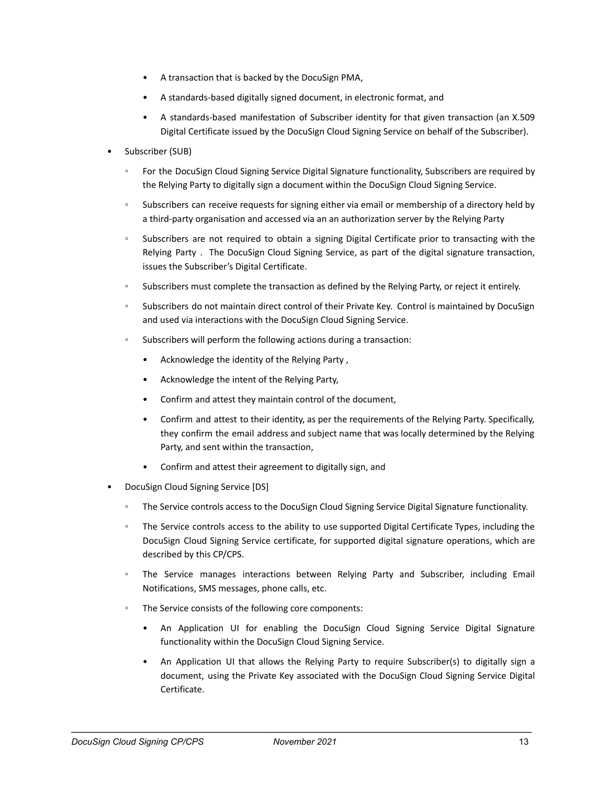- A transaction that is backed by the DocuSign PMA,
- A standards-based digitally signed document, in electronic format, and
- A standards-based manifestation of Subscriber identity for that given transaction (an X.509 Digital Certificate issued by the DocuSign Cloud Signing Service on behalf of the Subscriber).
- Subscriber (SUB)
	- For the DocuSign Cloud Signing Service Digital Signature functionality, Subscribers are required by the Relying Party to digitally sign a document within the DocuSign Cloud Signing Service.
	- Subscribers can receive requests for signing either via email or membership of a directory held by a third-party organisation and accessed via an an authorization server by the Relying Party
	- Subscribers are not required to obtain a signing Digital Certificate prior to transacting with the Relying Party . The DocuSign Cloud Signing Service, as part of the digital signature transaction, issues the Subscriber's Digital Certificate.
	- Subscribers must complete the transaction as defined by the Relying Party, or reject it entirely.
	- Subscribers do not maintain direct control of their Private Key. Control is maintained by DocuSign and used via interactions with the DocuSign Cloud Signing Service.
	- Subscribers will perform the following actions during a transaction:
		- Acknowledge the identity of the Relying Party ,
		- Acknowledge the intent of the Relying Party,
		- Confirm and attest they maintain control of the document,
		- Confirm and attest to their identity, as per the requirements of the Relying Party. Specifically, they confirm the email address and subject name that was locally determined by the Relying Party, and sent within the transaction,
		- Confirm and attest their agreement to digitally sign, and
- DocuSign Cloud Signing Service [DS]
	- The Service controls access to the DocuSign Cloud Signing Service Digital Signature functionality.
	- The Service controls access to the ability to use supported Digital Certificate Types, including the DocuSign Cloud Signing Service certificate, for supported digital signature operations, which are described by this CP/CPS.
	- The Service manages interactions between Relying Party and Subscriber, including Email Notifications, SMS messages, phone calls, etc.
	- The Service consists of the following core components:
		- An Application UI for enabling the DocuSign Cloud Signing Service Digital Signature functionality within the DocuSign Cloud Signing Service.
		- An Application UI that allows the Relying Party to require Subscriber(s) to digitally sign a document, using the Private Key associated with the DocuSign Cloud Signing Service Digital Certificate.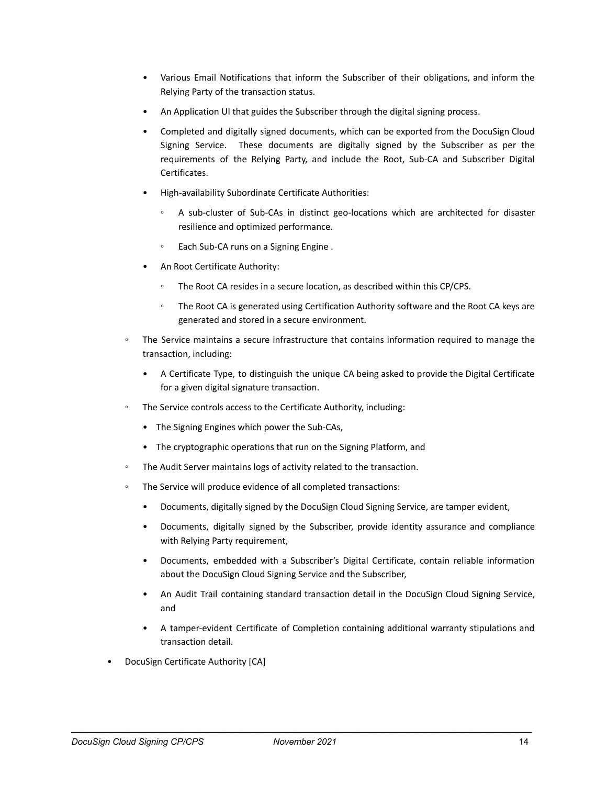- Various Email Notifications that inform the Subscriber of their obligations, and inform the Relying Party of the transaction status.
- An Application UI that guides the Subscriber through the digital signing process.
- Completed and digitally signed documents, which can be exported from the DocuSign Cloud Signing Service. These documents are digitally signed by the Subscriber as per the requirements of the Relying Party, and include the Root, Sub-CA and Subscriber Digital Certificates.
- High-availability Subordinate Certificate Authorities:
	- A sub-cluster of Sub-CAs in distinct geo-locations which are architected for disaster resilience and optimized performance.
	- Each Sub-CA runs on a Signing Engine.
- An Root Certificate Authority:
	- The Root CA resides in a secure location, as described within this CP/CPS.
	- The Root CA is generated using Certification Authority software and the Root CA keys are generated and stored in a secure environment.
- The Service maintains a secure infrastructure that contains information required to manage the transaction, including:
	- A Certificate Type, to distinguish the unique CA being asked to provide the Digital Certificate for a given digital signature transaction.
- The Service controls access to the Certificate Authority, including:
	- The Signing Engines which power the Sub-CAs,
	- The cryptographic operations that run on the Signing Platform, and
- The Audit Server maintains logs of activity related to the transaction.
- The Service will produce evidence of all completed transactions:
	- Documents, digitally signed by the DocuSign Cloud Signing Service, are tamper evident,
	- Documents, digitally signed by the Subscriber, provide identity assurance and compliance with Relying Party requirement,
	- Documents, embedded with a Subscriber's Digital Certificate, contain reliable information about the DocuSign Cloud Signing Service and the Subscriber,
	- An Audit Trail containing standard transaction detail in the DocuSign Cloud Signing Service, and
	- A tamper-evident Certificate of Completion containing additional warranty stipulations and transaction detail.
- DocuSign Certificate Authority [CA]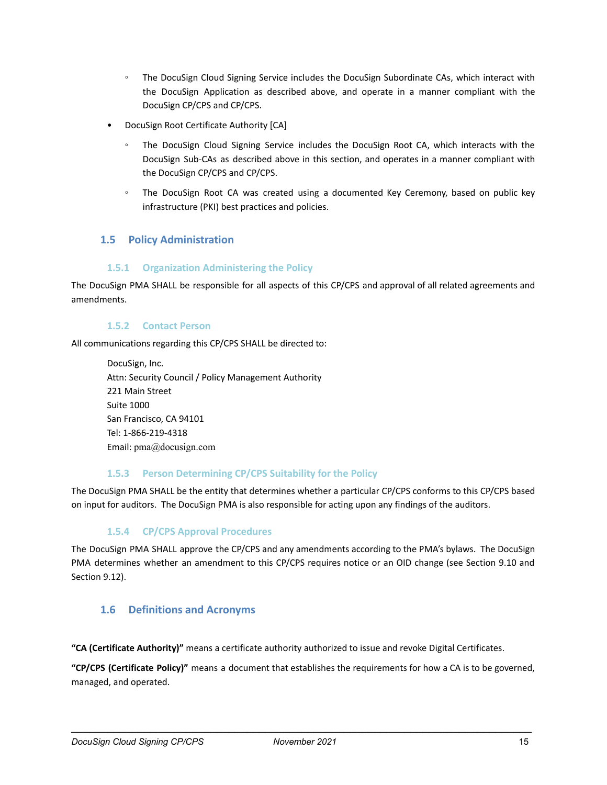- The DocuSign Cloud Signing Service includes the DocuSign Subordinate CAs, which interact with the DocuSign Application as described above, and operate in a manner compliant with the DocuSign CP/CPS and CP/CPS.
- DocuSign Root Certificate Authority [CA]
	- The DocuSign Cloud Signing Service includes the DocuSign Root CA, which interacts with the DocuSign Sub-CAs as described above in this section, and operates in a manner compliant with the DocuSign CP/CPS and CP/CPS.
	- The DocuSign Root CA was created using a documented Key Ceremony, based on public key infrastructure (PKI) best practices and policies.

# <span id="page-15-0"></span>**1.5 Policy Administration**

### **1.5.1 Organization Administering the Policy**

<span id="page-15-1"></span>The DocuSign PMA SHALL be responsible for all aspects of this CP/CPS and approval of all related agreements and amendments.

#### **1.5.2 Contact Person**

<span id="page-15-2"></span>All communications regarding this CP/CPS SHALL be directed to:

DocuSign, Inc. Attn: Security Council / Policy Management Authority 221 Main Street Suite 1000 San Francisco, CA 94101 Tel: 1-866-219-4318 Email: pma@docusign.com

### **1.5.3 Person Determining CP/CPS Suitability for the Policy**

<span id="page-15-4"></span><span id="page-15-3"></span>The DocuSign PMA SHALL be the entity that determines whether a particular CP/CPS conforms to this CP/CPS based on input for auditors. The DocuSign PMA is also responsible for acting upon any findings of the auditors.

### **1.5.4 CP/CPS Approval Procedures**

The DocuSign PMA SHALL approve the CP/CPS and any amendments according to the PMA's bylaws. The DocuSign PMA determines whether an amendment to this CP/CPS requires notice or an OID change (see Section 9.10 and Section 9.12).

# <span id="page-15-5"></span>**1.6 Definitions and Acronyms**

**"CA (Certificate Authority)"** means a certificate authority authorized to issue and revoke Digital Certificates.

**"CP/CPS (Certificate Policy)"** means a document that establishes the requirements for how a CA is to be governed, managed, and operated.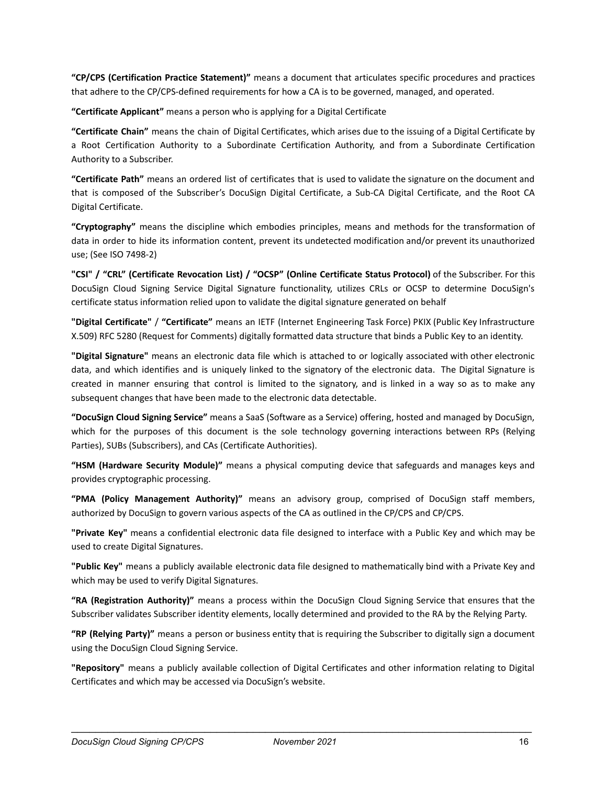**"CP/CPS (Certification Practice Statement)"** means a document that articulates specific procedures and practices that adhere to the CP/CPS-defined requirements for how a CA is to be governed, managed, and operated.

**"Certificate Applicant"** means a person who is applying for a Digital Certificate

**"Certificate Chain"** means the chain of Digital Certificates, which arises due to the issuing of a Digital Certificate by a Root Certification Authority to a Subordinate Certification Authority, and from a Subordinate Certification Authority to a Subscriber.

**"Certificate Path"** means an ordered list of certificates that is used to validate the signature on the document and that is composed of the Subscriber's DocuSign Digital Certificate, a Sub-CA Digital Certificate, and the Root CA Digital Certificate.

**"Cryptography"** means the discipline which embodies principles, means and methods for the transformation of data in order to hide its information content, prevent its undetected modification and/or prevent its unauthorized use; (See ISO 7498-2)

**"CSI" / "CRL" (Certificate Revocation List) / "OCSP" (Online Certificate Status Protocol)** of the Subscriber. For this DocuSign Cloud Signing Service Digital Signature functionality, utilizes CRLs or OCSP to determine DocuSign's certificate status information relied upon to validate the digital signature generated on behalf

**"Digital Certificate"** / **"Certificate"** means an IETF (Internet Engineering Task Force) PKIX (Public Key Infrastructure X.509) RFC 5280 (Request for Comments) digitally formatted data structure that binds a Public Key to an identity.

**"Digital Signature"** means an electronic data file which is attached to or logically associated with other electronic data, and which identifies and is uniquely linked to the signatory of the electronic data. The Digital Signature is created in manner ensuring that control is limited to the signatory, and is linked in a way so as to make any subsequent changes that have been made to the electronic data detectable.

**"DocuSign Cloud Signing Service"** means a SaaS (Software as a Service) offering, hosted and managed by DocuSign, which for the purposes of this document is the sole technology governing interactions between RPs (Relying Parties), SUBs (Subscribers), and CAs (Certificate Authorities).

**"HSM (Hardware Security Module)"** means a physical computing device that safeguards and manages keys and provides cryptographic processing.

**"PMA (Policy Management Authority)"** means an advisory group, comprised of DocuSign staff members, authorized by DocuSign to govern various aspects of the CA as outlined in the CP/CPS and CP/CPS.

**"Private Key"** means a confidential electronic data file designed to interface with a Public Key and which may be used to create Digital Signatures.

**"Public Key"** means a publicly available electronic data file designed to mathematically bind with a Private Key and which may be used to verify Digital Signatures.

**"RA (Registration Authority)"** means a process within the DocuSign Cloud Signing Service that ensures that the Subscriber validates Subscriber identity elements, locally determined and provided to the RA by the Relying Party.

**"RP (Relying Party)"** means a person or business entity that is requiring the Subscriber to digitally sign a document using the DocuSign Cloud Signing Service.

**"Repository"** means a publicly available collection of Digital Certificates and other information relating to Digital Certificates and which may be accessed via DocuSign's website.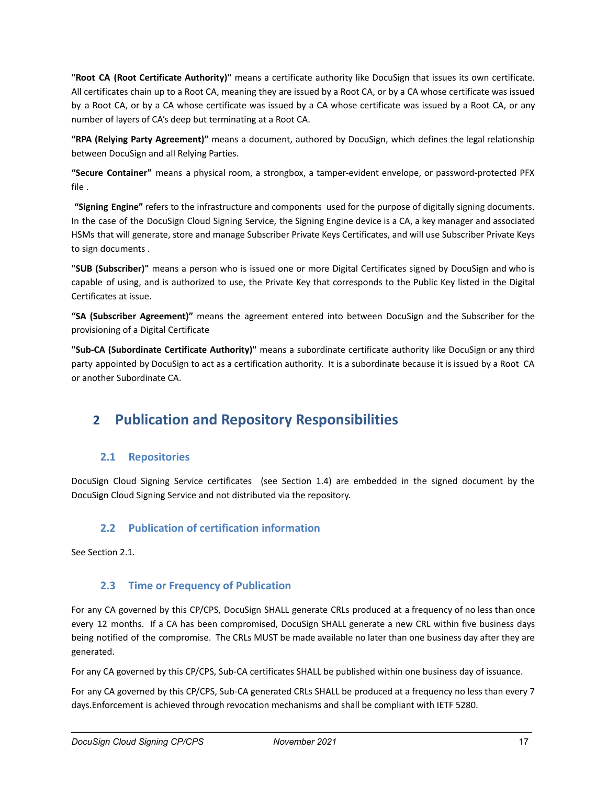**"Root CA (Root Certificate Authority)"** means a certificate authority like DocuSign that issues its own certificate. All certificates chain up to a Root CA, meaning they are issued by a Root CA, or by a CA whose certificate was issued by a Root CA, or by a CA whose certificate was issued by a CA whose certificate was issued by a Root CA, or any number of layers of CA's deep but terminating at a Root CA.

**"RPA (Relying Party Agreement)"** means a document, authored by DocuSign, which defines the legal relationship between DocuSign and all Relying Parties.

**"Secure Container"** means a physical room, a strongbox, a tamper-evident envelope, or password-protected PFX file .

**"Signing Engine"** refers to the infrastructure and components used for the purpose of digitally signing documents. In the case of the DocuSign Cloud Signing Service, the Signing Engine device is a CA, a key manager and associated HSMs that will generate, store and manage Subscriber Private Keys Certificates, and will use Subscriber Private Keys to sign documents .

**"SUB (Subscriber)"** means a person who is issued one or more Digital Certificates signed by DocuSign and who is capable of using, and is authorized to use, the Private Key that corresponds to the Public Key listed in the Digital Certificates at issue.

**"SA (Subscriber Agreement)"** means the agreement entered into between DocuSign and the Subscriber for the provisioning of a Digital Certificate

**"Sub-CA (Subordinate Certificate Authority)"** means a subordinate certificate authority like DocuSign or any third party appointed by DocuSign to act as a certification authority. It is a subordinate because it is issued by a Root CA or another Subordinate CA.

# <span id="page-17-0"></span>**2 Publication and Repository Responsibilities**

# <span id="page-17-1"></span>**2.1 Repositories**

<span id="page-17-2"></span>DocuSign Cloud Signing Service certificates (see Section 1.4) are embedded in the signed document by the DocuSign Cloud Signing Service and not distributed via the repository.

# **2.2 Publication of certification information**

<span id="page-17-3"></span>See Section 2.1.

### **2.3 Time or Frequency of Publication**

For any CA governed by this CP/CPS, DocuSign SHALL generate CRLs produced at a frequency of no less than once every 12 months. If a CA has been compromised, DocuSign SHALL generate a new CRL within five business days being notified of the compromise. The CRLs MUST be made available no later than one business day after they are generated.

For any CA governed by this CP/CPS, Sub-CA certificates SHALL be published within one business day of issuance.

For any CA governed by this CP/CPS, Sub-CA generated CRLs SHALL be produced at a frequency no less than every 7 days.Enforcement is achieved through revocation mechanisms and shall be compliant with IETF 5280.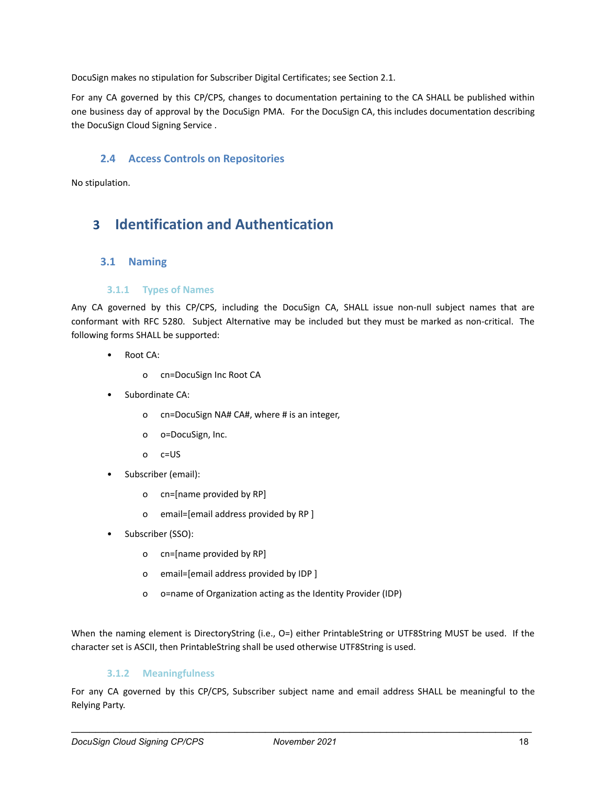DocuSign makes no stipulation for Subscriber Digital Certificates; see Section 2.1.

For any CA governed by this CP/CPS, changes to documentation pertaining to the CA SHALL be published within one business day of approval by the DocuSign PMA. For the DocuSign CA, this includes documentation describing the DocuSign Cloud Signing Service .

# <span id="page-18-0"></span>**2.4 Access Controls on Repositories**

<span id="page-18-1"></span>No stipulation.

# <span id="page-18-2"></span>**3 Identification and Authentication**

### **3.1 Naming**

#### **3.1.1 Types of Names**

<span id="page-18-3"></span>Any CA governed by this CP/CPS, including the DocuSign CA, SHALL issue non-null subject names that are conformant with RFC 5280. Subject Alternative may be included but they must be marked as non-critical. The following forms SHALL be supported:

- Root CA:
	- o cn=DocuSign Inc Root CA
- Subordinate CA:
	- o cn=DocuSign NA# CA#, where # is an integer,
	- o o=DocuSign, Inc.
	- o c=US
- Subscriber (email):
	- o cn=[name provided by RP]
	- o email=[email address provided by RP ]
- Subscriber (SSO):
	- o cn=[name provided by RP]
	- o email=[email address provided by IDP ]
	- o o=name of Organization acting as the Identity Provider (IDP)

When the naming element is DirectoryString (i.e., O=) either PrintableString or UTF8String MUST be used. If the character set is ASCII, then PrintableString shall be used otherwise UTF8String is used.

### **3.1.2 Meaningfulness**

<span id="page-18-4"></span>For any CA governed by this CP/CPS, Subscriber subject name and email address SHALL be meaningful to the Relying Party.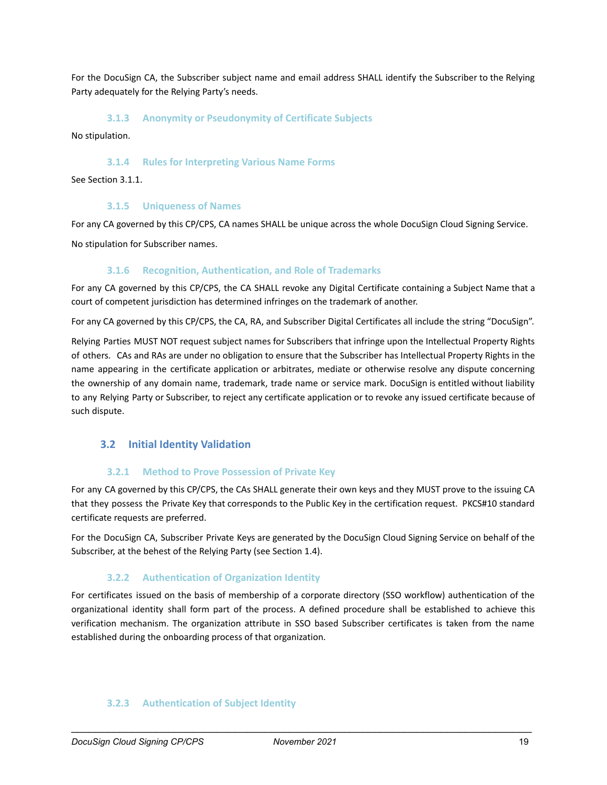For the DocuSign CA, the Subscriber subject name and email address SHALL identify the Subscriber to the Relying Party adequately for the Relying Party's needs.

#### **3.1.3 Anonymity or Pseudonymity of Certificate Subjects**

<span id="page-19-1"></span><span id="page-19-0"></span>No stipulation.

#### **3.1.4 Rules for Interpreting Various Name Forms**

<span id="page-19-2"></span>See Section 3.1.1.

#### **3.1.5 Uniqueness of Names**

For any CA governed by this CP/CPS, CA names SHALL be unique across the whole DocuSign Cloud Signing Service.

<span id="page-19-3"></span>No stipulation for Subscriber names.

#### **3.1.6 Recognition, Authentication, and Role of Trademarks**

For any CA governed by this CP/CPS, the CA SHALL revoke any Digital Certificate containing a Subject Name that a court of competent jurisdiction has determined infringes on the trademark of another.

For any CA governed by this CP/CPS, the CA, RA, and Subscriber Digital Certificates all include the string "DocuSign".

Relying Parties MUST NOT request subject names for Subscribers that infringe upon the Intellectual Property Rights of others. CAs and RAs are under no obligation to ensure that the Subscriber has Intellectual Property Rights in the name appearing in the certificate application or arbitrates, mediate or otherwise resolve any dispute concerning the ownership of any domain name, trademark, trade name or service mark. DocuSign is entitled without liability to any Relying Party or Subscriber, to reject any certificate application or to revoke any issued certificate because of such dispute.

### <span id="page-19-4"></span>**3.2 Initial Identity Validation**

#### **3.2.1 Method to Prove Possession of Private Key**

<span id="page-19-5"></span>For any CA governed by this CP/CPS, the CAs SHALL generate their own keys and they MUST prove to the issuing CA that they possess the Private Key that corresponds to the Public Key in the certification request. PKCS#10 standard certificate requests are preferred.

For the DocuSign CA, Subscriber Private Keys are generated by the DocuSign Cloud Signing Service on behalf of the Subscriber, at the behest of the Relying Party (see Section 1.4).

#### **3.2.2 Authentication of Organization Identity**

<span id="page-19-6"></span>For certificates issued on the basis of membership of a corporate directory (SSO workflow) authentication of the organizational identity shall form part of the process. A defined procedure shall be established to achieve this verification mechanism. The organization attribute in SSO based Subscriber certificates is taken from the name established during the onboarding process of that organization.

#### <span id="page-19-7"></span>**3.2.3 Authentication of Subject Identity**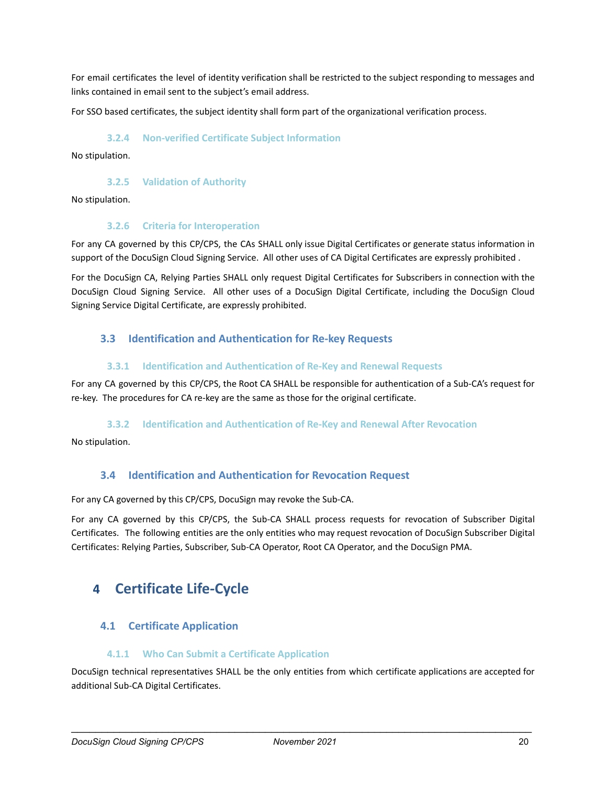For email certificates the level of identity verification shall be restricted to the subject responding to messages and links contained in email sent to the subject's email address.

<span id="page-20-0"></span>For SSO based certificates, the subject identity shall form part of the organizational verification process.

#### **3.2.4 Non-verified Certificate Subject Information**

<span id="page-20-1"></span>No stipulation.

#### **3.2.5 Validation of Authority**

<span id="page-20-2"></span>No stipulation.

#### **3.2.6 Criteria for Interoperation**

For any CA governed by this CP/CPS, the CAs SHALL only issue Digital Certificates or generate status information in support of the DocuSign Cloud Signing Service. All other uses of CA Digital Certificates are expressly prohibited .

For the DocuSign CA, Relying Parties SHALL only request Digital Certificates for Subscribers in connection with the DocuSign Cloud Signing Service. All other uses of a DocuSign Digital Certificate, including the DocuSign Cloud Signing Service Digital Certificate, are expressly prohibited.

# <span id="page-20-3"></span>**3.3 Identification and Authentication for Re-key Requests**

#### **3.3.1 Identification and Authentication of Re-Key and Renewal Requests**

<span id="page-20-4"></span>For any CA governed by this CP/CPS, the Root CA SHALL be responsible for authentication of a Sub-CA's request for re-key. The procedures for CA re-key are the same as those for the original certificate.

#### **3.3.2 Identification and Authentication of Re-Key and Renewal After Revocation**

<span id="page-20-6"></span><span id="page-20-5"></span>No stipulation.

### **3.4 Identification and Authentication for Revocation Request**

For any CA governed by this CP/CPS, DocuSign may revoke the Sub-CA.

For any CA governed by this CP/CPS, the Sub-CA SHALL process requests for revocation of Subscriber Digital Certificates. The following entities are the only entities who may request revocation of DocuSign Subscriber Digital Certificates: Relying Parties, Subscriber, Sub-CA Operator, Root CA Operator, and the DocuSign PMA.

# <span id="page-20-7"></span>**4 Certificate Life-Cycle**

### <span id="page-20-8"></span>**4.1 Certificate Application**

#### **4.1.1 Who Can Submit a Certificate Application**

<span id="page-20-9"></span>DocuSign technical representatives SHALL be the only entities from which certificate applications are accepted for additional Sub-CA Digital Certificates.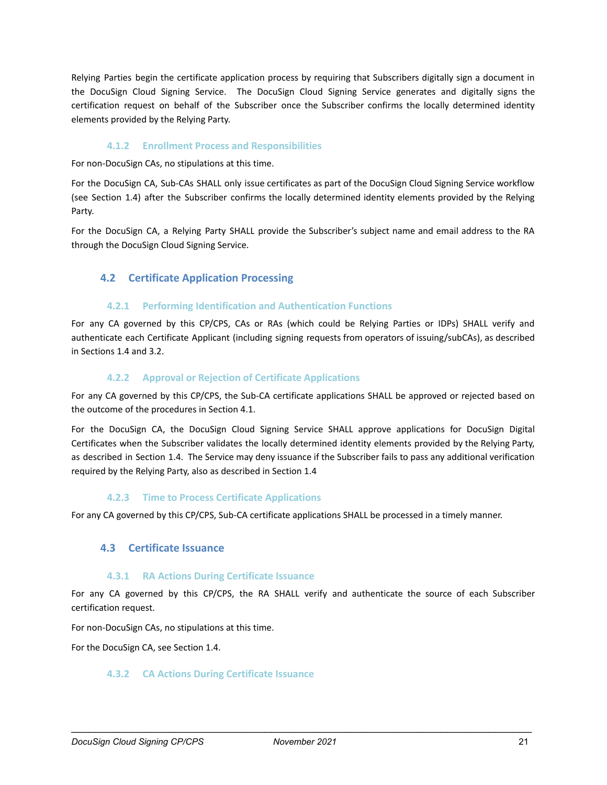Relying Parties begin the certificate application process by requiring that Subscribers digitally sign a document in the DocuSign Cloud Signing Service. The DocuSign Cloud Signing Service generates and digitally signs the certification request on behalf of the Subscriber once the Subscriber confirms the locally determined identity elements provided by the Relying Party.

#### **4.1.2 Enrollment Process and Responsibilities**

<span id="page-21-0"></span>For non-DocuSign CAs, no stipulations at this time.

For the DocuSign CA, Sub-CAs SHALL only issue certificates as part of the DocuSign Cloud Signing Service workflow (see Section 1.4) after the Subscriber confirms the locally determined identity elements provided by the Relying Party.

For the DocuSign CA, a Relying Party SHALL provide the Subscriber's subject name and email address to the RA through the DocuSign Cloud Signing Service.

# <span id="page-21-1"></span>**4.2 Certificate Application Processing**

#### **4.2.1 Performing Identification and Authentication Functions**

<span id="page-21-2"></span>For any CA governed by this CP/CPS, CAs or RAs (which could be Relying Parties or IDPs) SHALL verify and authenticate each Certificate Applicant (including signing requests from operators of issuing/subCAs), as described in Sections 1.4 and 3.2.

#### **4.2.2 Approval or Rejection of Certificate Applications**

<span id="page-21-3"></span>For any CA governed by this CP/CPS, the Sub-CA certificate applications SHALL be approved or rejected based on the outcome of the procedures in Section 4.1.

For the DocuSign CA, the DocuSign Cloud Signing Service SHALL approve applications for DocuSign Digital Certificates when the Subscriber validates the locally determined identity elements provided by the Relying Party, as described in Section 1.4. The Service may deny issuance if the Subscriber fails to pass any additional verification required by the Relying Party, also as described in Section 1.4

#### **4.2.3 Time to Process Certificate Applications**

<span id="page-21-5"></span><span id="page-21-4"></span>For any CA governed by this CP/CPS, Sub-CA certificate applications SHALL be processed in a timely manner.

### **4.3 Certificate Issuance**

#### **4.3.1 RA Actions During Certificate Issuance**

<span id="page-21-6"></span>For any CA governed by this CP/CPS, the RA SHALL verify and authenticate the source of each Subscriber certification request.

For non-DocuSign CAs, no stipulations at this time.

<span id="page-21-7"></span>For the DocuSign CA, see Section 1.4.

#### **4.3.2 CA Actions During Certificate Issuance**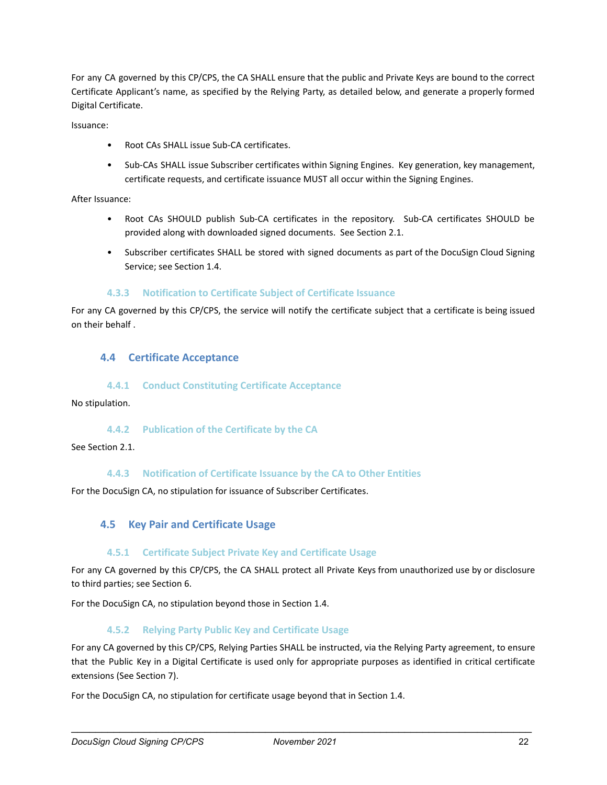For any CA governed by this CP/CPS, the CA SHALL ensure that the public and Private Keys are bound to the correct Certificate Applicant's name, as specified by the Relying Party, as detailed below, and generate a properly formed Digital Certificate.

Issuance:

- Root CAs SHALL issue Sub-CA certificates.
- Sub-CAs SHALL issue Subscriber certificates within Signing Engines. Key generation, key management, certificate requests, and certificate issuance MUST all occur within the Signing Engines.

After Issuance:

- Root CAs SHOULD publish Sub-CA certificates in the repository. Sub-CA certificates SHOULD be provided along with downloaded signed documents. See Section 2.1.
- Subscriber certificates SHALL be stored with signed documents as part of the DocuSign Cloud Signing Service; see Section 1.4.

#### **4.3.3 Notification to Certificate Subject of Certificate Issuance**

<span id="page-22-0"></span>For any CA governed by this CP/CPS, the service will notify the certificate subject that a certificate is being issued on their behalf .

### <span id="page-22-1"></span>**4.4 Certificate Acceptance**

#### **4.4.1 Conduct Constituting Certificate Acceptance**

<span id="page-22-3"></span><span id="page-22-2"></span>No stipulation.

#### **4.4.2 Publication of the Certificate by the CA**

<span id="page-22-4"></span>See Section 2.1.

#### **4.4.3 Notification of Certificate Issuance by the CA to Other Entities**

<span id="page-22-5"></span>For the DocuSign CA, no stipulation for issuance of Subscriber Certificates.

### **4.5 Key Pair and Certificate Usage**

#### **4.5.1 Certificate Subject Private Key and Certificate Usage**

<span id="page-22-6"></span>For any CA governed by this CP/CPS, the CA SHALL protect all Private Keys from unauthorized use by or disclosure to third parties; see Section 6.

<span id="page-22-7"></span>For the DocuSign CA, no stipulation beyond those in Section 1.4.

#### **4.5.2 Relying Party Public Key and Certificate Usage**

For any CA governed by this CP/CPS, Relying Parties SHALL be instructed, via the Relying Party agreement, to ensure that the Public Key in a Digital Certificate is used only for appropriate purposes as identified in critical certificate extensions (See Section 7).

For the DocuSign CA, no stipulation for certificate usage beyond that in Section 1.4.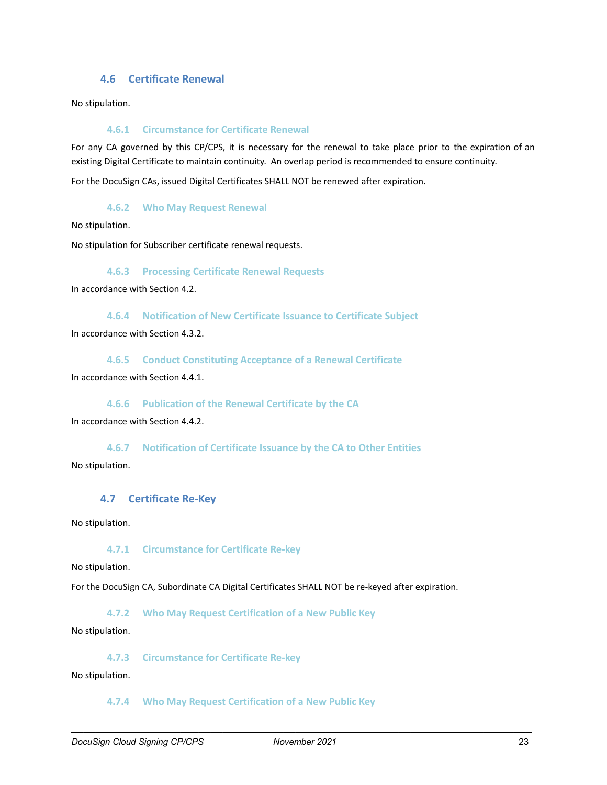# **4.6 Certificate Renewal**

<span id="page-23-1"></span><span id="page-23-0"></span>No stipulation.

#### **4.6.1 Circumstance for Certificate Renewal**

For any CA governed by this CP/CPS, it is necessary for the renewal to take place prior to the expiration of an existing Digital Certificate to maintain continuity. An overlap period is recommended to ensure continuity.

<span id="page-23-2"></span>For the DocuSign CAs, issued Digital Certificates SHALL NOT be renewed after expiration.

#### **4.6.2 Who May Request Renewal**

No stipulation.

<span id="page-23-3"></span>No stipulation for Subscriber certificate renewal requests.

#### **4.6.3 Processing Certificate Renewal Requests**

<span id="page-23-4"></span>In accordance with Section 4.2.

**4.6.4 Notification of New Certificate Issuance to Certificate Subject**

In accordance with Section 4.3.2.

<span id="page-23-5"></span>**4.6.5 Conduct Constituting Acceptance of a Renewal Certificate**

<span id="page-23-6"></span>In accordance with Section 4.4.1.

**4.6.6 Publication of the Renewal Certificate by the CA**

In accordance with Section 4.4.2.

<span id="page-23-7"></span>**4.6.7 Notification of Certificate Issuance by the CA to Other Entities** No stipulation.

#### <span id="page-23-8"></span>**4.7 Certificate Re-Key**

<span id="page-23-9"></span>No stipulation.

#### **4.7.1 Circumstance for Certificate Re-key**

No stipulation.

<span id="page-23-10"></span>For the DocuSign CA, Subordinate CA Digital Certificates SHALL NOT be re-keyed after expiration.

**4.7.2 Who May Request Certification of a New Public Key**

<span id="page-23-11"></span>No stipulation.

**4.7.3 Circumstance for Certificate Re-key**

<span id="page-23-12"></span>No stipulation.

**4.7.4 Who May Request Certification of a New Public Key**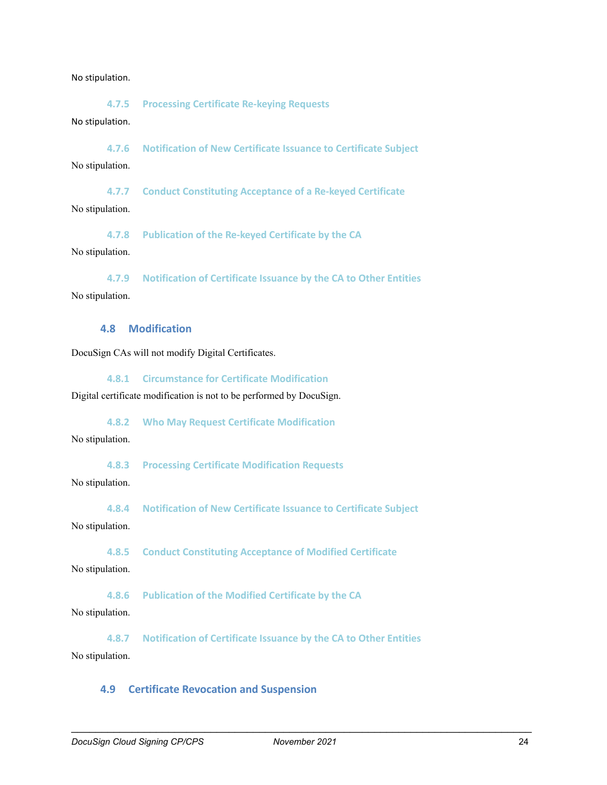#### <span id="page-24-0"></span>No stipulation.

**4.7.5 Processing Certificate Re-keying Requests**

#### No stipulation.

<span id="page-24-1"></span>**4.7.6 Notification of New Certificate Issuance to Certificate Subject** No stipulation.

<span id="page-24-2"></span>**4.7.7 Conduct Constituting Acceptance of a Re-keyed Certificate** No stipulation.

<span id="page-24-3"></span>**4.7.8 Publication of the Re-keyed Certificate by the CA** No stipulation.

<span id="page-24-4"></span>**4.7.9 Notification of Certificate Issuance by the CA to Other Entities** No stipulation.

# <span id="page-24-5"></span>**4.8 Modification**

<span id="page-24-6"></span>DocuSign CAs will not modify Digital Certificates.

**4.8.1 Circumstance for Certificate Modification**

<span id="page-24-7"></span>Digital certificate modification is not to be performed by DocuSign.

**4.8.2 Who May Request Certificate Modification**

<span id="page-24-8"></span>No stipulation.

**4.8.3 Processing Certificate Modification Requests**

<span id="page-24-9"></span>No stipulation.

**4.8.4 Notification of New Certificate Issuance to Certificate Subject**

<span id="page-24-10"></span>No stipulation.

**4.8.5 Conduct Constituting Acceptance of Modified Certificate**

<span id="page-24-11"></span>No stipulation.

**4.8.6 Publication of the Modified Certificate by the CA**

No stipulation.

<span id="page-24-12"></span>**4.8.7 Notification of Certificate Issuance by the CA to Other Entities** No stipulation.

#### <span id="page-24-13"></span>**4.9 Certificate Revocation and Suspension**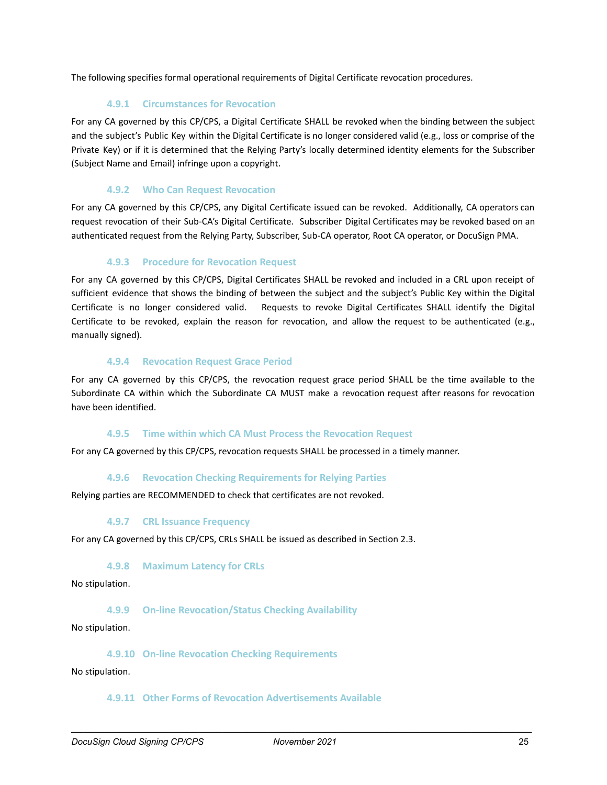<span id="page-25-0"></span>The following specifies formal operational requirements of Digital Certificate revocation procedures.

#### **4.9.1 Circumstances for Revocation**

For any CA governed by this CP/CPS, a Digital Certificate SHALL be revoked when the binding between the subject and the subject's Public Key within the Digital Certificate is no longer considered valid (e.g., loss or comprise of the Private Key) or if it is determined that the Relying Party's locally determined identity elements for the Subscriber (Subject Name and Email) infringe upon a copyright.

#### **4.9.2 Who Can Request Revocation**

<span id="page-25-1"></span>For any CA governed by this CP/CPS, any Digital Certificate issued can be revoked. Additionally, CA operators can request revocation of their Sub-CA's Digital Certificate. Subscriber Digital Certificates may be revoked based on an authenticated request from the Relying Party, Subscriber, Sub-CA operator, Root CA operator, or DocuSign PMA.

#### **4.9.3 Procedure for Revocation Request**

<span id="page-25-2"></span>For any CA governed by this CP/CPS, Digital Certificates SHALL be revoked and included in a CRL upon receipt of sufficient evidence that shows the binding of between the subject and the subject's Public Key within the Digital Certificate is no longer considered valid. Requests to revoke Digital Certificates SHALL identify the Digital Certificate to be revoked, explain the reason for revocation, and allow the request to be authenticated (e.g., manually signed).

#### **4.9.4 Revocation Request Grace Period**

<span id="page-25-3"></span>For any CA governed by this CP/CPS, the revocation request grace period SHALL be the time available to the Subordinate CA within which the Subordinate CA MUST make a revocation request after reasons for revocation have been identified.

#### **4.9.5 Time within which CA Must Process the Revocation Request**

<span id="page-25-5"></span><span id="page-25-4"></span>For any CA governed by this CP/CPS, revocation requests SHALL be processed in a timely manner.

#### **4.9.6 Revocation Checking Requirements for Relying Parties**

<span id="page-25-6"></span>Relying parties are RECOMMENDED to check that certificates are not revoked.

#### **4.9.7 CRL Issuance Frequency**

<span id="page-25-7"></span>For any CA governed by this CP/CPS, CRLs SHALL be issued as described in Section 2.3.

#### **4.9.8 Maximum Latency for CRLs**

<span id="page-25-8"></span>No stipulation.

#### **4.9.9 On-line Revocation/Status Checking Availability**

<span id="page-25-9"></span>No stipulation.

#### **4.9.10 On-line Revocation Checking Requirements**

<span id="page-25-10"></span>No stipulation.

#### **4.9.11 Other Forms of Revocation Advertisements Available**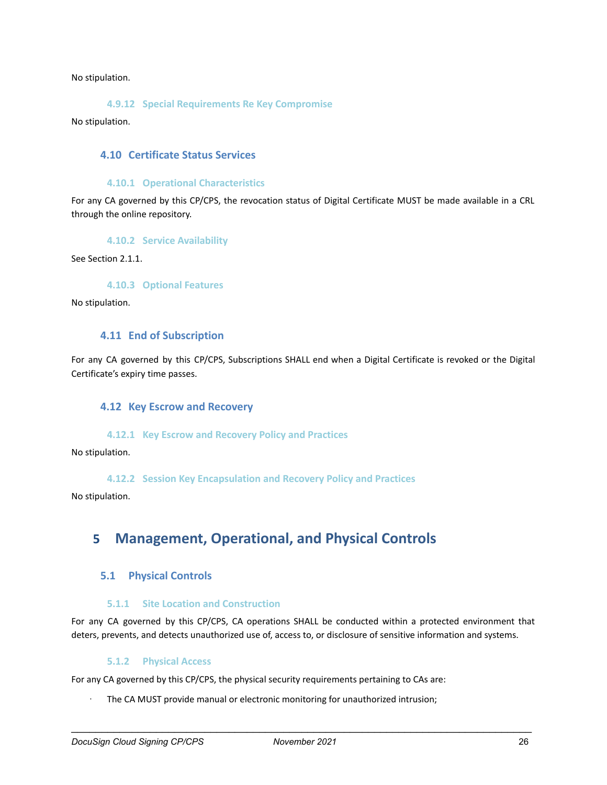<span id="page-26-0"></span>No stipulation.

**4.9.12 Special Requirements Re Key Compromise**

<span id="page-26-1"></span>No stipulation.

#### **4.10 Certificate Status Services**

#### **4.10.1 Operational Characteristics**

<span id="page-26-2"></span>For any CA governed by this CP/CPS, the revocation status of Digital Certificate MUST be made available in a CRL through the online repository.

#### **4.10.2 Service Availability**

<span id="page-26-4"></span><span id="page-26-3"></span>See Section 2.1.1.

**4.10.3 Optional Features**

<span id="page-26-5"></span>No stipulation.

#### **4.11 End of Subscription**

<span id="page-26-6"></span>For any CA governed by this CP/CPS, Subscriptions SHALL end when a Digital Certificate is revoked or the Digital Certificate's expiry time passes.

#### **4.12 Key Escrow and Recovery**

#### **4.12.1 Key Escrow and Recovery Policy and Practices**

<span id="page-26-8"></span><span id="page-26-7"></span>No stipulation.

**4.12.2 Session Key Encapsulation and Recovery Policy and Practices**

<span id="page-26-9"></span>No stipulation.

# **5 Management, Operational, and Physical Controls**

### <span id="page-26-10"></span>**5.1 Physical Controls**

#### **5.1.1 Site Location and Construction**

<span id="page-26-11"></span>For any CA governed by this CP/CPS, CA operations SHALL be conducted within a protected environment that deters, prevents, and detects unauthorized use of, access to, or disclosure of sensitive information and systems.

#### **5.1.2 Physical Access**

<span id="page-26-12"></span>For any CA governed by this CP/CPS, the physical security requirements pertaining to CAs are:

The CA MUST provide manual or electronic monitoring for unauthorized intrusion;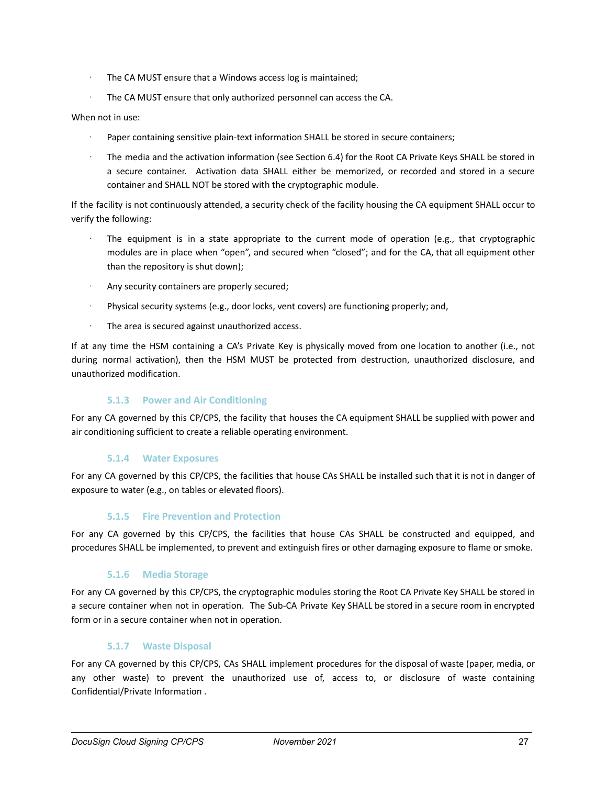- · The CA MUST ensure that a Windows access log is maintained;
- The CA MUST ensure that only authorized personnel can access the CA.

#### When not in use:

- Paper containing sensitive plain-text information SHALL be stored in secure containers;
- The media and the activation information (see Section 6.4) for the Root CA Private Keys SHALL be stored in a secure container. Activation data SHALL either be memorized, or recorded and stored in a secure container and SHALL NOT be stored with the cryptographic module.

If the facility is not continuously attended, a security check of the facility housing the CA equipment SHALL occur to verify the following:

- The equipment is in a state appropriate to the current mode of operation (e.g., that cryptographic modules are in place when "open", and secured when "closed"; and for the CA, that all equipment other than the repository is shut down);
- Any security containers are properly secured;
- Physical security systems (e.g., door locks, vent covers) are functioning properly; and,
- · The area is secured against unauthorized access.

If at any time the HSM containing a CA's Private Key is physically moved from one location to another (i.e., not during normal activation), then the HSM MUST be protected from destruction, unauthorized disclosure, and unauthorized modification.

### **5.1.3 Power and Air Conditioning**

<span id="page-27-0"></span>For any CA governed by this CP/CPS, the facility that houses the CA equipment SHALL be supplied with power and air conditioning sufficient to create a reliable operating environment.

#### **5.1.4 Water Exposures**

<span id="page-27-1"></span>For any CA governed by this CP/CPS, the facilities that house CAs SHALL be installed such that it is not in danger of exposure to water (e.g., on tables or elevated floors).

### **5.1.5 Fire Prevention and Protection**

<span id="page-27-3"></span><span id="page-27-2"></span>For any CA governed by this CP/CPS, the facilities that house CAs SHALL be constructed and equipped, and procedures SHALL be implemented, to prevent and extinguish fires or other damaging exposure to flame or smoke.

#### **5.1.6 Media Storage**

For any CA governed by this CP/CPS, the cryptographic modules storing the Root CA Private Key SHALL be stored in a secure container when not in operation. The Sub-CA Private Key SHALL be stored in a secure room in encrypted form or in a secure container when not in operation.

### **5.1.7 Waste Disposal**

<span id="page-27-4"></span>For any CA governed by this CP/CPS, CAs SHALL implement procedures for the disposal of waste (paper, media, or any other waste) to prevent the unauthorized use of, access to, or disclosure of waste containing Confidential/Private Information .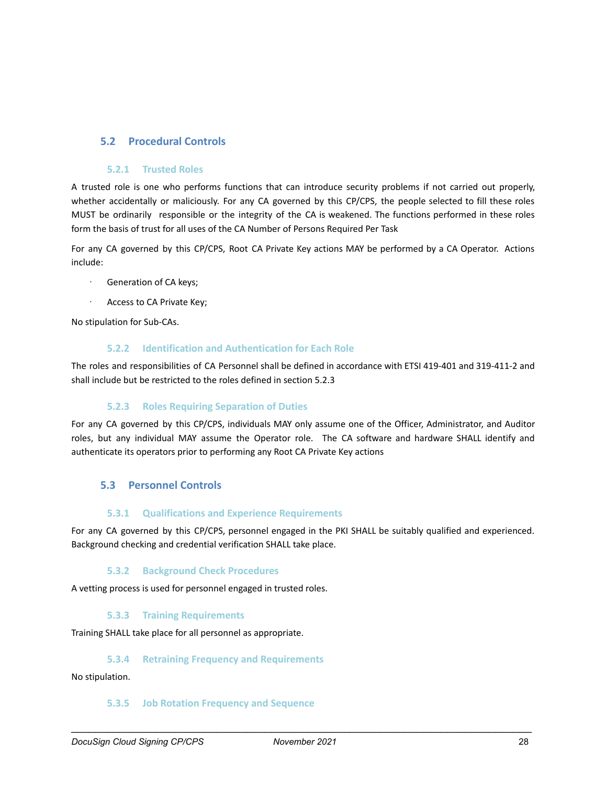# <span id="page-28-0"></span>**5.2 Procedural Controls**

#### **5.2.1 Trusted Roles**

<span id="page-28-1"></span>A trusted role is one who performs functions that can introduce security problems if not carried out properly, whether accidentally or maliciously. For any CA governed by this CP/CPS, the people selected to fill these roles MUST be ordinarily responsible or the integrity of the CA is weakened. The functions performed in these roles form the basis of trust for all uses of the CA Number of Persons Required Per Task

For any CA governed by this CP/CPS, Root CA Private Key actions MAY be performed by a CA Operator. Actions include:

- · Generation of CA keys;
- Access to CA Private Key;

<span id="page-28-2"></span>No stipulation for Sub-CAs.

#### **5.2.2 Identification and Authentication for Each Role**

The roles and responsibilities of CA Personnel shall be defined in accordance with ETSI 419-401 and 319-411-2 and shall include but be restricted to the roles defined in section 5.2.3

### **5.2.3 Roles Requiring Separation of Duties**

<span id="page-28-3"></span>For any CA governed by this CP/CPS, individuals MAY only assume one of the Officer, Administrator, and Auditor roles, but any individual MAY assume the Operator role. The CA software and hardware SHALL identify and authenticate its operators prior to performing any Root CA Private Key actions

# <span id="page-28-4"></span>**5.3 Personnel Controls**

### **5.3.1 Qualifications and Experience Requirements**

<span id="page-28-5"></span>For any CA governed by this CP/CPS, personnel engaged in the PKI SHALL be suitably qualified and experienced. Background checking and credential verification SHALL take place.

### **5.3.2 Background Check Procedures**

<span id="page-28-7"></span><span id="page-28-6"></span>A vetting process is used for personnel engaged in trusted roles.

#### **5.3.3 Training Requirements**

<span id="page-28-8"></span>Training SHALL take place for all personnel as appropriate.

#### **5.3.4 Retraining Frequency and Requirements**

<span id="page-28-9"></span>No stipulation.

#### **5.3.5 Job Rotation Frequency and Sequence**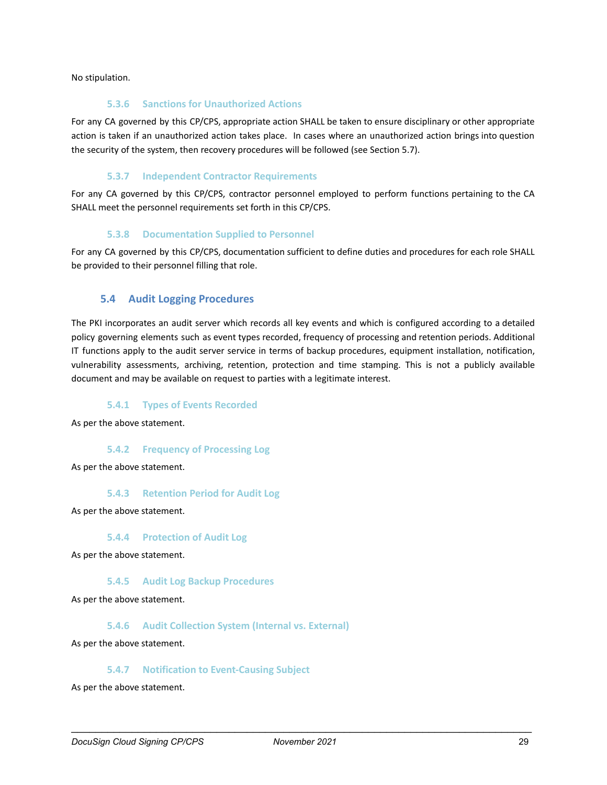<span id="page-29-0"></span>No stipulation.

#### **5.3.6 Sanctions for Unauthorized Actions**

For any CA governed by this CP/CPS, appropriate action SHALL be taken to ensure disciplinary or other appropriate action is taken if an unauthorized action takes place. In cases where an unauthorized action brings into question the security of the system, then recovery procedures will be followed (see Section 5.7).

# **5.3.7 Independent Contractor Requirements**

<span id="page-29-1"></span>For any CA governed by this CP/CPS, contractor personnel employed to perform functions pertaining to the CA SHALL meet the personnel requirements set forth in this CP/CPS.

# **5.3.8 Documentation Supplied to Personnel**

<span id="page-29-2"></span>For any CA governed by this CP/CPS, documentation sufficient to define duties and procedures for each role SHALL be provided to their personnel filling that role.

# <span id="page-29-3"></span>**5.4 Audit Logging Procedures**

The PKI incorporates an audit server which records all key events and which is configured according to a detailed policy governing elements such as event types recorded, frequency of processing and retention periods. Additional IT functions apply to the audit server service in terms of backup procedures, equipment installation, notification, vulnerability assessments, archiving, retention, protection and time stamping. This is not a publicly available document and may be available on request to parties with a legitimate interest.

### **5.4.1 Types of Events Recorded**

<span id="page-29-5"></span><span id="page-29-4"></span>As per the above statement.

### **5.4.2 Frequency of Processing Log**

<span id="page-29-6"></span>As per the above statement.

#### **5.4.3 Retention Period for Audit Log**

<span id="page-29-7"></span>As per the above statement.

#### **5.4.4 Protection of Audit Log**

<span id="page-29-8"></span>As per the above statement.

#### **5.4.5 Audit Log Backup Procedures**

<span id="page-29-9"></span>As per the above statement.

#### **5.4.6 Audit Collection System (Internal vs. External)**

<span id="page-29-10"></span>As per the above statement.

#### **5.4.7 Notification to Event-Causing Subject**

As per the above statement.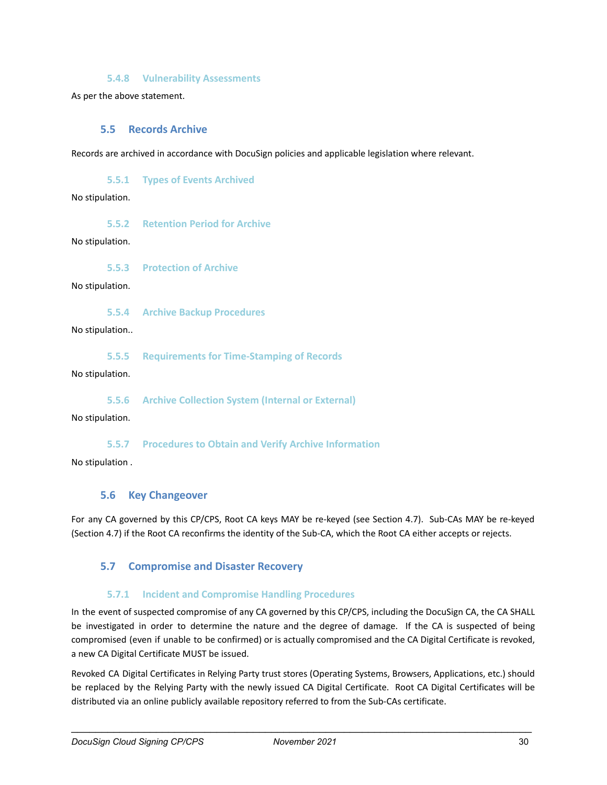#### **5.4.8 Vulnerability Assessments**

<span id="page-30-1"></span><span id="page-30-0"></span>As per the above statement.

#### **5.5 Records Archive**

<span id="page-30-2"></span>Records are archived in accordance with DocuSign policies and applicable legislation where relevant.

**5.5.1 Types of Events Archived**

<span id="page-30-3"></span>No stipulation.

**5.5.2 Retention Period for Archive**

<span id="page-30-4"></span>No stipulation.

**5.5.3 Protection of Archive**

<span id="page-30-5"></span>No stipulation.

**5.5.4 Archive Backup Procedures**

<span id="page-30-6"></span>No stipulation..

**5.5.5 Requirements for Time-Stamping of Records**

<span id="page-30-7"></span>No stipulation.

**5.5.6 Archive Collection System (Internal or External)**

<span id="page-30-8"></span>No stipulation.

**5.5.7 Procedures to Obtain and Verify Archive Information**

<span id="page-30-9"></span>No stipulation .

#### **5.6 Key Changeover**

For any CA governed by this CP/CPS, Root CA keys MAY be re-keyed (see Section 4.7). Sub-CAs MAY be re-keyed (Section 4.7) if the Root CA reconfirms the identity of the Sub-CA, which the Root CA either accepts or rejects.

# <span id="page-30-10"></span>**5.7 Compromise and Disaster Recovery**

#### **5.7.1 Incident and Compromise Handling Procedures**

<span id="page-30-11"></span>In the event of suspected compromise of any CA governed by this CP/CPS, including the DocuSign CA, the CA SHALL be investigated in order to determine the nature and the degree of damage. If the CA is suspected of being compromised (even if unable to be confirmed) or is actually compromised and the CA Digital Certificate is revoked, a new CA Digital Certificate MUST be issued.

Revoked CA Digital Certificates in Relying Party trust stores (Operating Systems, Browsers, Applications, etc.) should be replaced by the Relying Party with the newly issued CA Digital Certificate. Root CA Digital Certificates will be distributed via an online publicly available repository referred to from the Sub-CAs certificate.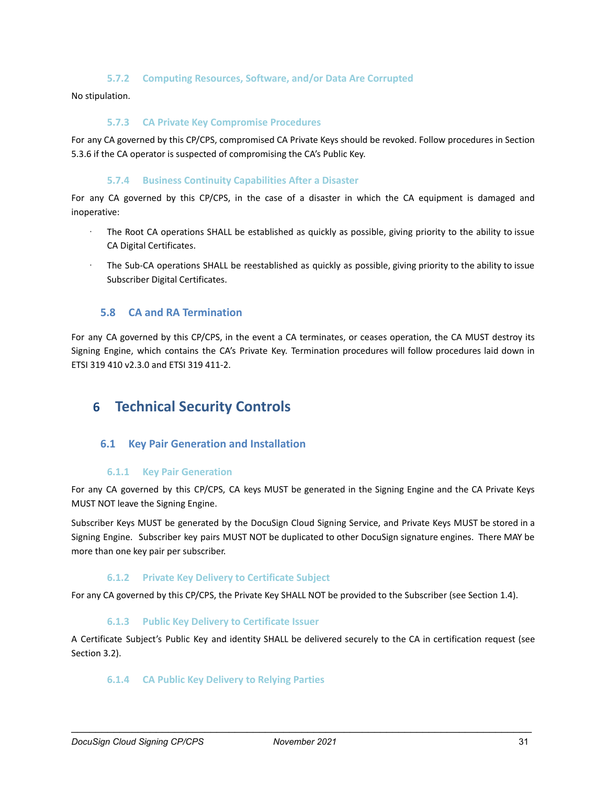#### **5.7.2 Computing Resources, Software, and/or Data Are Corrupted**

<span id="page-31-1"></span><span id="page-31-0"></span>No stipulation.

#### **5.7.3 CA Private Key Compromise Procedures**

For any CA governed by this CP/CPS, compromised CA Private Keys should be revoked. Follow procedures in Section 5.3.6 if the CA operator is suspected of compromising the CA's Public Key.

#### **5.7.4 Business Continuity Capabilities After a Disaster**

<span id="page-31-2"></span>For any CA governed by this CP/CPS, in the case of a disaster in which the CA equipment is damaged and inoperative:

- The Root CA operations SHALL be established as quickly as possible, giving priority to the ability to issue CA Digital Certificates.
- · The Sub-CA operations SHALL be reestablished as quickly as possible, giving priority to the ability to issue Subscriber Digital Certificates.

#### <span id="page-31-3"></span>**5.8 CA and RA Termination**

For any CA governed by this CP/CPS, in the event a CA terminates, or ceases operation, the CA MUST destroy its Signing Engine, which contains the CA's Private Key. Termination procedures will follow procedures laid down in ETSI 319 410 v2.3.0 and ETSI 319 411-2.

# <span id="page-31-4"></span>**6 Technical Security Controls**

#### <span id="page-31-5"></span>**6.1 Key Pair Generation and Installation**

#### **6.1.1 Key Pair Generation**

<span id="page-31-6"></span>For any CA governed by this CP/CPS, CA keys MUST be generated in the Signing Engine and the CA Private Keys MUST NOT leave the Signing Engine.

Subscriber Keys MUST be generated by the DocuSign Cloud Signing Service, and Private Keys MUST be stored in a Signing Engine. Subscriber key pairs MUST NOT be duplicated to other DocuSign signature engines. There MAY be more than one key pair per subscriber.

#### **6.1.2 Private Key Delivery to Certificate Subject**

<span id="page-31-8"></span><span id="page-31-7"></span>For any CA governed by this CP/CPS, the Private Key SHALL NOT be provided to the Subscriber (see Section 1.4).

#### **6.1.3 Public Key Delivery to Certificate Issuer**

<span id="page-31-9"></span>A Certificate Subject's Public Key and identity SHALL be delivered securely to the CA in certification request (see Section 3.2).

#### **6.1.4 CA Public Key Delivery to Relying Parties**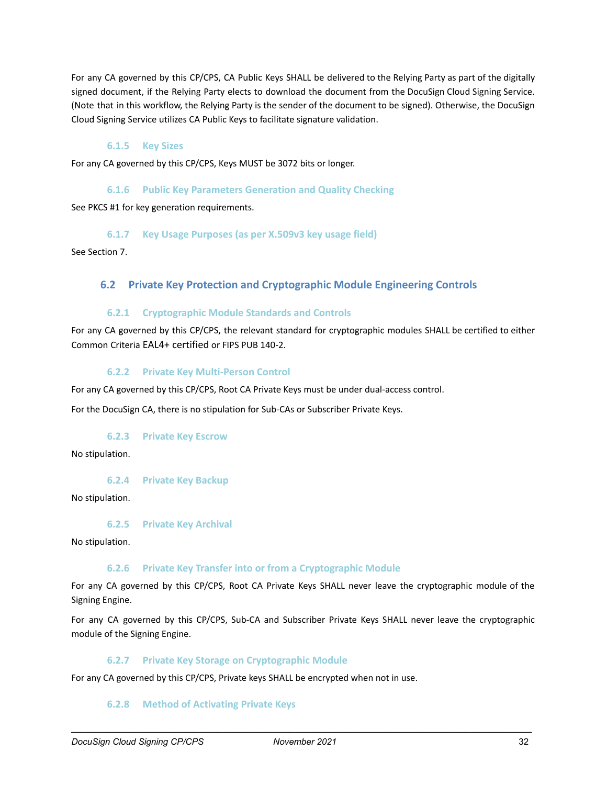For any CA governed by this CP/CPS, CA Public Keys SHALL be delivered to the Relying Party as part of the digitally signed document, if the Relying Party elects to download the document from the DocuSign Cloud Signing Service. (Note that in this workflow, the Relying Party is the sender of the document to be signed). Otherwise, the DocuSign Cloud Signing Service utilizes CA Public Keys to facilitate signature validation.

#### **6.1.5 Key Sizes**

<span id="page-32-1"></span><span id="page-32-0"></span>For any CA governed by this CP/CPS, Keys MUST be 3072 bits or longer.

#### **6.1.6 Public Key Parameters Generation and Quality Checking**

<span id="page-32-2"></span>See PKCS #1 for key generation requirements.

#### **6.1.7 Key Usage Purposes (as per X.509v3 key usage field)**

<span id="page-32-3"></span>See Section 7.

### **6.2 Private Key Protection and Cryptographic Module Engineering Controls**

#### **6.2.1 Cryptographic Module Standards and Controls**

<span id="page-32-4"></span>For any CA governed by this CP/CPS, the relevant standard for cryptographic modules SHALL be certified to either Common Criteria EAL4+ certified or FIPS PUB 140-2.

#### **6.2.2 Private Key Multi-Person Control**

<span id="page-32-5"></span>For any CA governed by this CP/CPS, Root CA Private Keys must be under dual-access control.

<span id="page-32-6"></span>For the DocuSign CA, there is no stipulation for Sub-CAs or Subscriber Private Keys.

#### **6.2.3 Private Key Escrow**

<span id="page-32-7"></span>No stipulation.

#### **6.2.4 Private Key Backup**

<span id="page-32-8"></span>No stipulation.

#### **6.2.5 Private Key Archival**

<span id="page-32-9"></span>No stipulation.

#### **6.2.6 Private Key Transfer into or from a Cryptographic Module**

For any CA governed by this CP/CPS, Root CA Private Keys SHALL never leave the cryptographic module of the Signing Engine.

For any CA governed by this CP/CPS, Sub-CA and Subscriber Private Keys SHALL never leave the cryptographic module of the Signing Engine.

#### **6.2.7 Private Key Storage on Cryptographic Module**

<span id="page-32-11"></span><span id="page-32-10"></span>For any CA governed by this CP/CPS, Private keys SHALL be encrypted when not in use.

#### **6.2.8 Method of Activating Private Keys**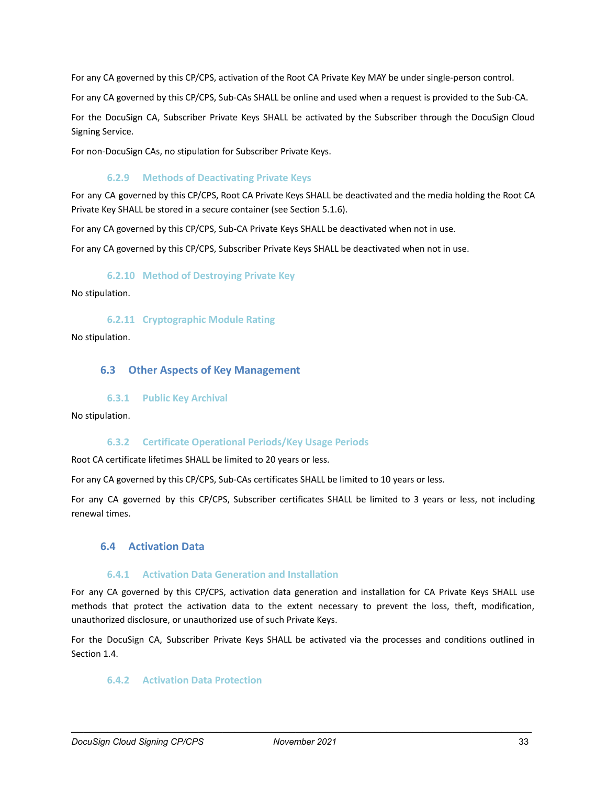For any CA governed by this CP/CPS, activation of the Root CA Private Key MAY be under single-person control.

For any CA governed by this CP/CPS, Sub-CAs SHALL be online and used when a request is provided to the Sub-CA.

For the DocuSign CA, Subscriber Private Keys SHALL be activated by the Subscriber through the DocuSign Cloud Signing Service.

<span id="page-33-0"></span>For non-DocuSign CAs, no stipulation for Subscriber Private Keys.

#### **6.2.9 Methods of Deactivating Private Keys**

For any CA governed by this CP/CPS, Root CA Private Keys SHALL be deactivated and the media holding the Root CA Private Key SHALL be stored in a secure container (see Section 5.1.6).

For any CA governed by this CP/CPS, Sub-CA Private Keys SHALL be deactivated when not in use.

<span id="page-33-1"></span>For any CA governed by this CP/CPS, Subscriber Private Keys SHALL be deactivated when not in use.

#### **6.2.10 Method of Destroying Private Key**

<span id="page-33-2"></span>No stipulation.

**6.2.11 Cryptographic Module Rating**

<span id="page-33-3"></span>No stipulation.

#### **6.3 Other Aspects of Key Management**

#### **6.3.1 Public Key Archival**

<span id="page-33-5"></span><span id="page-33-4"></span>No stipulation.

#### **6.3.2 Certificate Operational Periods/Key Usage Periods**

Root CA certificate lifetimes SHALL be limited to 20 years or less.

For any CA governed by this CP/CPS, Sub-CAs certificates SHALL be limited to 10 years or less.

For any CA governed by this CP/CPS, Subscriber certificates SHALL be limited to 3 years or less, not including renewal times.

#### <span id="page-33-6"></span>**6.4 Activation Data**

#### **6.4.1 Activation Data Generation and Installation**

<span id="page-33-7"></span>For any CA governed by this CP/CPS, activation data generation and installation for CA Private Keys SHALL use methods that protect the activation data to the extent necessary to prevent the loss, theft, modification, unauthorized disclosure, or unauthorized use of such Private Keys.

<span id="page-33-8"></span>For the DocuSign CA, Subscriber Private Keys SHALL be activated via the processes and conditions outlined in Section 1.4.

#### **6.4.2 Activation Data Protection**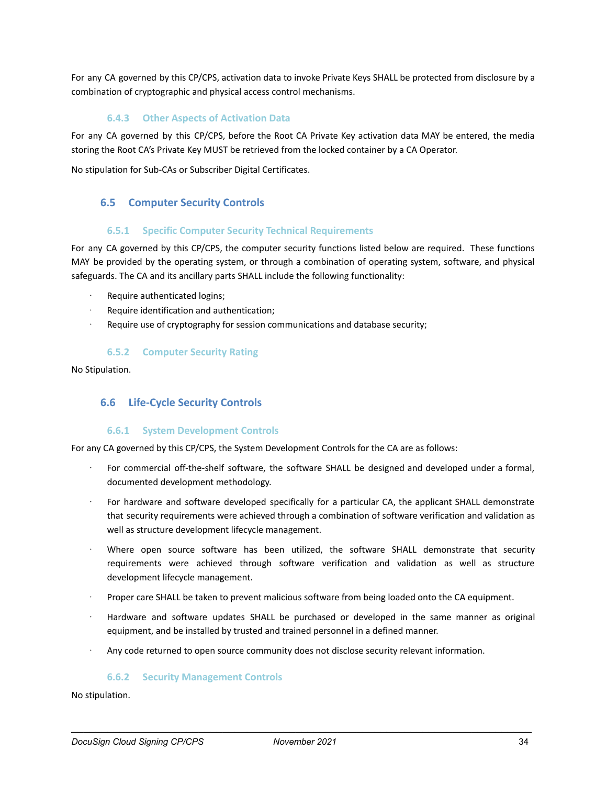For any CA governed by this CP/CPS, activation data to invoke Private Keys SHALL be protected from disclosure by a combination of cryptographic and physical access control mechanisms.

#### **6.4.3 Other Aspects of Activation Data**

<span id="page-34-0"></span>For any CA governed by this CP/CPS, before the Root CA Private Key activation data MAY be entered, the media storing the Root CA's Private Key MUST be retrieved from the locked container by a CA Operator.

<span id="page-34-1"></span>No stipulation for Sub-CAs or Subscriber Digital Certificates.

### **6.5 Computer Security Controls**

#### **6.5.1 Specific Computer Security Technical Requirements**

<span id="page-34-2"></span>For any CA governed by this CP/CPS, the computer security functions listed below are required. These functions MAY be provided by the operating system, or through a combination of operating system, software, and physical safeguards. The CA and its ancillary parts SHALL include the following functionality:

- Require authenticated logins;
- Require identification and authentication;
- <span id="page-34-3"></span>Require use of cryptography for session communications and database security;

### **6.5.2 Computer Security Rating**

<span id="page-34-4"></span>No Stipulation.

### **6.6 Life-Cycle Security Controls**

#### **6.6.1 System Development Controls**

<span id="page-34-5"></span>For any CA governed by this CP/CPS, the System Development Controls for the CA are as follows:

- For commercial off-the-shelf software, the software SHALL be designed and developed under a formal, documented development methodology.
- For hardware and software developed specifically for a particular CA, the applicant SHALL demonstrate that security requirements were achieved through a combination of software verification and validation as well as structure development lifecycle management.
- Where open source software has been utilized, the software SHALL demonstrate that security requirements were achieved through software verification and validation as well as structure development lifecycle management.
- · Proper care SHALL be taken to prevent malicious software from being loaded onto the CA equipment.
- · Hardware and software updates SHALL be purchased or developed in the same manner as original equipment, and be installed by trusted and trained personnel in a defined manner.
- <span id="page-34-6"></span>Any code returned to open source community does not disclose security relevant information.

#### **6.6.2 Security Management Controls**

No stipulation.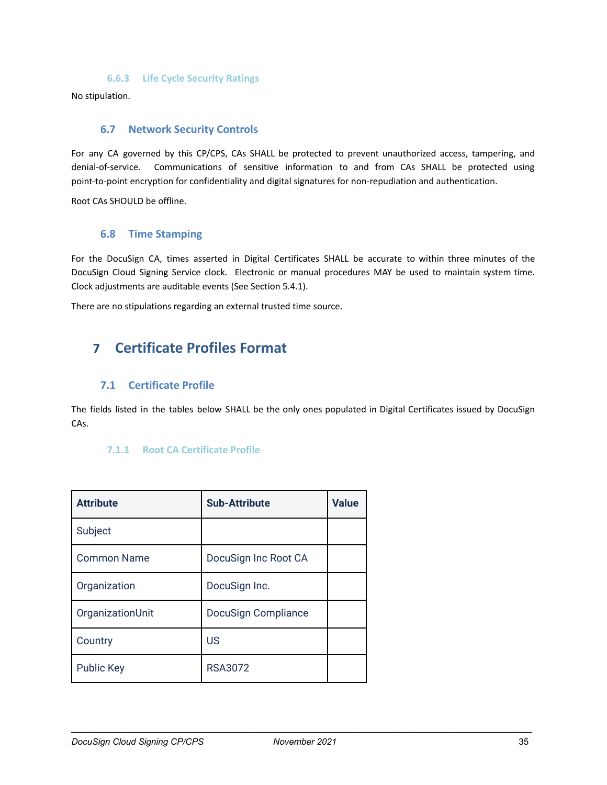#### **6.6.3 Life Cycle Security Ratings**

<span id="page-35-1"></span><span id="page-35-0"></span>No stipulation.

#### **6.7 Network Security Controls**

For any CA governed by this CP/CPS, CAs SHALL be protected to prevent unauthorized access, tampering, and denial-of-service. Communications of sensitive information to and from CAs SHALL be protected using point-to-point encryption for confidentiality and digital signatures for non-repudiation and authentication.

<span id="page-35-2"></span>Root CAs SHOULD be offline.

#### **6.8 Time Stamping**

For the DocuSign CA, times asserted in Digital Certificates SHALL be accurate to within three minutes of the DocuSign Cloud Signing Service clock. Electronic or manual procedures MAY be used to maintain system time. Clock adjustments are auditable events (See Section 5.4.1).

<span id="page-35-3"></span>There are no stipulations regarding an external trusted time source.

# **7 Certificate Profiles Format**

### <span id="page-35-4"></span>**7.1 Certificate Profile**

<span id="page-35-5"></span>The fields listed in the tables below SHALL be the only ones populated in Digital Certificates issued by DocuSign CAs.

#### **7.1.1 Root CA Certificate Profile**

| <b>Attribute</b>   | <b>Sub-Attribute</b>       | <b>Value</b> |
|--------------------|----------------------------|--------------|
| Subject            |                            |              |
| <b>Common Name</b> | DocuSign Inc Root CA       |              |
| Organization       | DocuSign Inc.              |              |
| OrganizationUnit   | <b>DocuSign Compliance</b> |              |
| Country            | US                         |              |
| <b>Public Key</b>  | <b>RSA3072</b>             |              |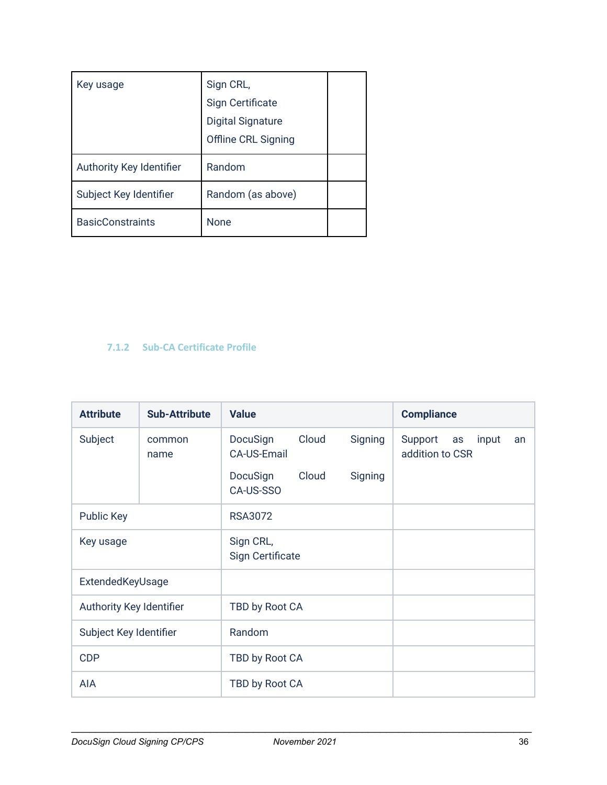| Key usage                | Sign CRL,<br><b>Sign Certificate</b><br><b>Digital Signature</b><br>Offline CRL Signing |  |
|--------------------------|-----------------------------------------------------------------------------------------|--|
| Authority Key Identifier | Random                                                                                  |  |
| Subject Key Identifier   | Random (as above)                                                                       |  |
| <b>BasicConstraints</b>  | None                                                                                    |  |

# <span id="page-36-0"></span>**7.1.2 Sub-CA Certificate Profile**

| <b>Attribute</b>         | <b>Sub-Attribute</b> | <b>Value</b>                            |         | <b>Compliance</b>                               |
|--------------------------|----------------------|-----------------------------------------|---------|-------------------------------------------------|
| Subject                  | common<br>name       | Cloud<br>DocuSign<br><b>CA-US-Email</b> | Signing | Support<br>input<br>as<br>an<br>addition to CSR |
|                          |                      | Cloud<br>DocuSign<br>CA-US-SSO          | Signing |                                                 |
| <b>Public Key</b>        |                      | <b>RSA3072</b>                          |         |                                                 |
| Key usage                |                      | Sign CRL,<br><b>Sign Certificate</b>    |         |                                                 |
| ExtendedKeyUsage         |                      |                                         |         |                                                 |
| Authority Key Identifier |                      | TBD by Root CA                          |         |                                                 |
| Subject Key Identifier   |                      | Random                                  |         |                                                 |
| <b>CDP</b>               |                      | TBD by Root CA                          |         |                                                 |
| <b>AIA</b>               |                      | TBD by Root CA                          |         |                                                 |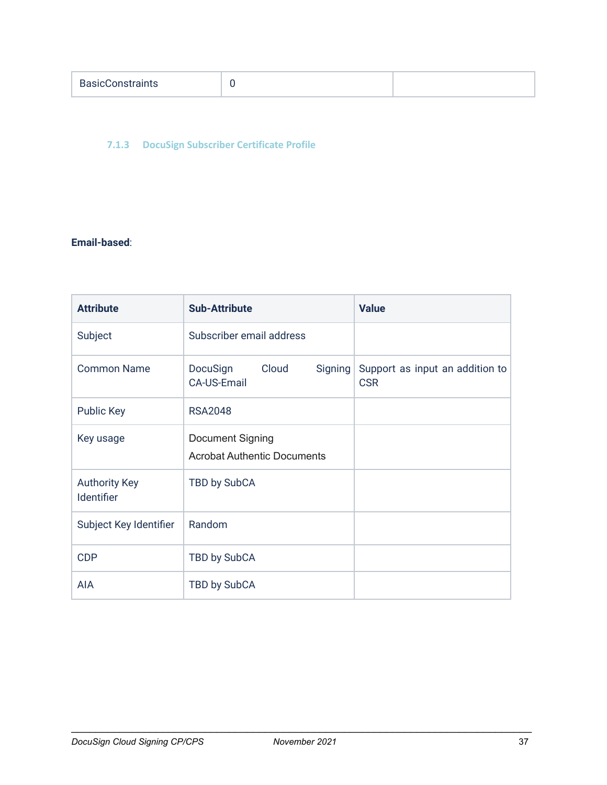| <b>BasicConstraints</b> |  |  |
|-------------------------|--|--|
|-------------------------|--|--|

# <span id="page-37-0"></span>**7.1.3 DocuSign Subscriber Certificate Profile**

# **Email-based**:

| <b>Attribute</b>                   | <b>Sub-Attribute</b>                                      | <b>Value</b>                                  |
|------------------------------------|-----------------------------------------------------------|-----------------------------------------------|
| Subject                            | Subscriber email address                                  |                                               |
| <b>Common Name</b>                 | Cloud<br>DocuSign<br><b>Signing</b><br><b>CA-US-Email</b> | Support as input an addition to<br><b>CSR</b> |
| <b>Public Key</b>                  | <b>RSA2048</b>                                            |                                               |
| Key usage                          | Document Signing<br><b>Acrobat Authentic Documents</b>    |                                               |
| <b>Authority Key</b><br>Identifier | TBD by SubCA                                              |                                               |
| Subject Key Identifier             | Random                                                    |                                               |
| <b>CDP</b>                         | TBD by SubCA                                              |                                               |
| AIA                                | TBD by SubCA                                              |                                               |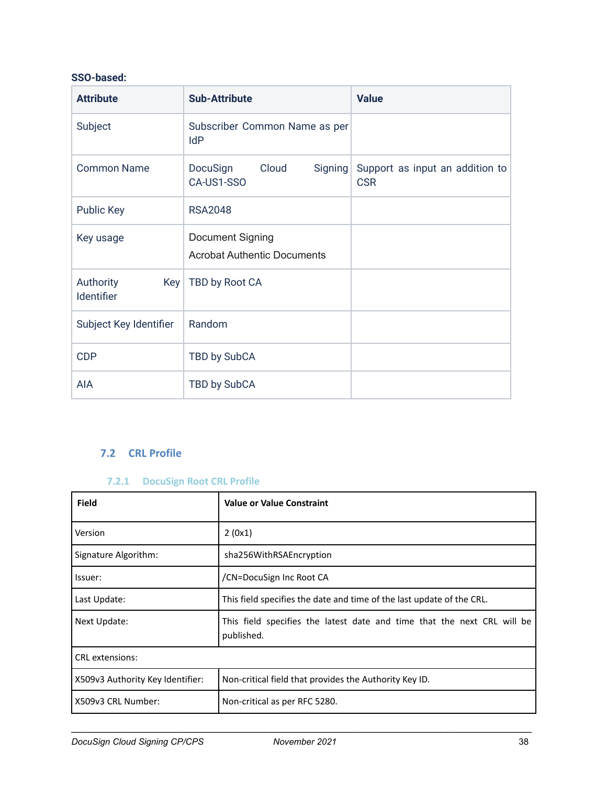# **SSO-based:**

| <b>Attribute</b>               | <b>Sub-Attribute</b>                                   | <b>Value</b>                                          |
|--------------------------------|--------------------------------------------------------|-------------------------------------------------------|
| Subject                        | Subscriber Common Name as per<br>IdP                   |                                                       |
| <b>Common Name</b>             | Cloud<br>DocuSign<br>CA-US1-SSO                        | Signing Support as input an addition to<br><b>CSR</b> |
| <b>Public Key</b>              | <b>RSA2048</b>                                         |                                                       |
| Key usage                      | Document Signing<br><b>Acrobat Authentic Documents</b> |                                                       |
| Authority<br>Key<br>Identifier | TBD by Root CA                                         |                                                       |
| Subject Key Identifier         | Random                                                 |                                                       |
| <b>CDP</b>                     | TBD by SubCA                                           |                                                       |
| AIA                            | TBD by SubCA                                           |                                                       |

# <span id="page-38-0"></span>**7.2 CRL Profile**

# **7.2.1 DocuSign Root CRL Profile**

<span id="page-38-1"></span>

| <b>Field</b>                     | <b>Value or Value Constraint</b>                                                      |  |
|----------------------------------|---------------------------------------------------------------------------------------|--|
| Version                          | 2(0x1)                                                                                |  |
| Signature Algorithm:             | sha256WithRSAEncryption                                                               |  |
| Issuer:                          | /CN=DocuSign Inc Root CA                                                              |  |
| Last Update:                     | This field specifies the date and time of the last update of the CRL.                 |  |
| Next Update:                     | This field specifies the latest date and time that the next CRL will be<br>published. |  |
| <b>CRL</b> extensions:           |                                                                                       |  |
| X509v3 Authority Key Identifier: | Non-critical field that provides the Authority Key ID.                                |  |
| X509v3 CRL Number:               | Non-critical as per RFC 5280.                                                         |  |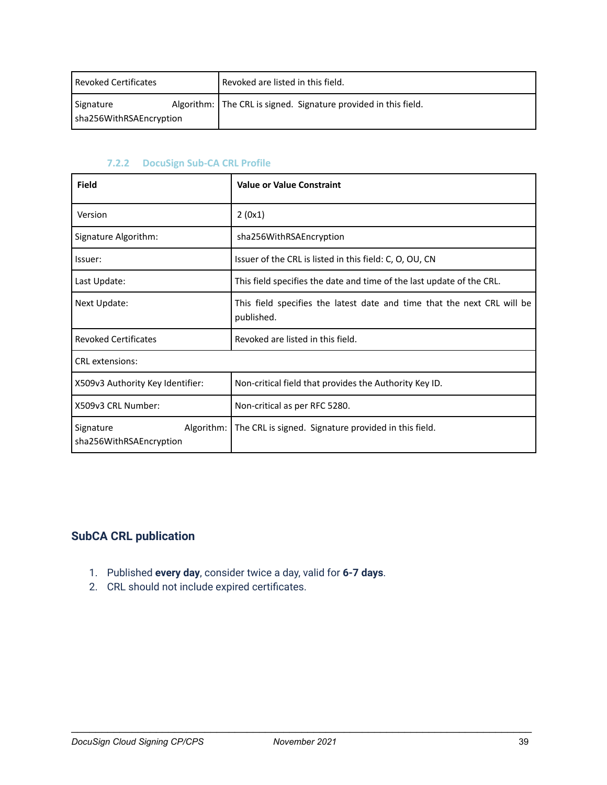| l Revoked Certificates               |  | Revoked are listed in this field.                               |  |
|--------------------------------------|--|-----------------------------------------------------------------|--|
| Signature<br>sha256WithRSAEncryption |  | Algorithm: The CRL is signed. Signature provided in this field. |  |

## **7.2.2 DocuSign Sub-CA CRL Profile**

<span id="page-39-0"></span>

| <b>Field</b>                         | <b>Value or Value Constraint</b>                                                      |  |  |
|--------------------------------------|---------------------------------------------------------------------------------------|--|--|
| Version                              | 2(0x1)                                                                                |  |  |
| Signature Algorithm:                 | sha256WithRSAEncryption                                                               |  |  |
| Issuer:                              | Issuer of the CRL is listed in this field: C, O, OU, CN                               |  |  |
| Last Update:                         | This field specifies the date and time of the last update of the CRL.                 |  |  |
| Next Update:                         | This field specifies the latest date and time that the next CRL will be<br>published. |  |  |
| <b>Revoked Certificates</b>          | Revoked are listed in this field.                                                     |  |  |
| <b>CRL</b> extensions:               |                                                                                       |  |  |
| X509v3 Authority Key Identifier:     | Non-critical field that provides the Authority Key ID.                                |  |  |
| X509v3 CRL Number:                   | Non-critical as per RFC 5280.                                                         |  |  |
| Signature<br>sha256WithRSAEncryption | Algorithm:   The CRL is signed. Signature provided in this field.                     |  |  |

# <span id="page-39-1"></span>**SubCA CRL publication**

- 1. Published **every day**, consider twice a day, valid for **6-7 days**.
- 2. CRL should not include expired certificates.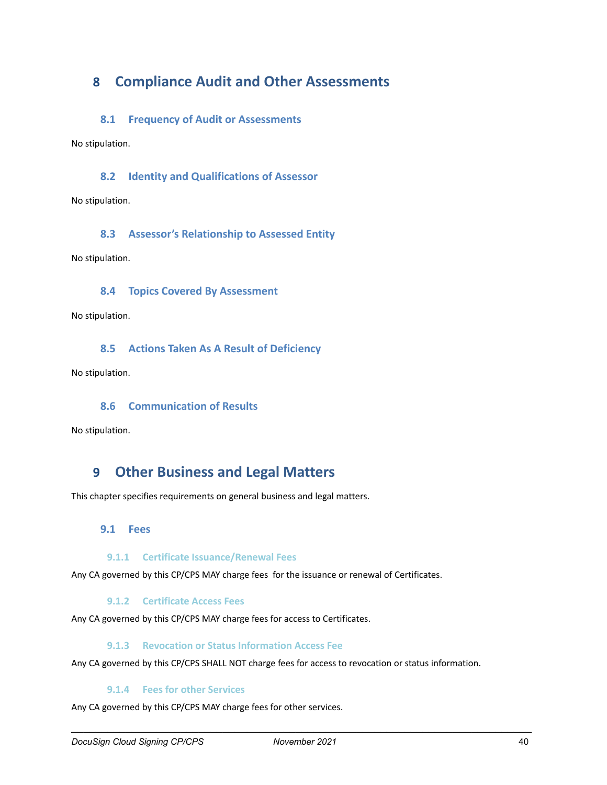# <span id="page-40-0"></span>**8 Compliance Audit and Other Assessments**

### <span id="page-40-1"></span>**8.1 Frequency of Audit or Assessments**

<span id="page-40-2"></span>No stipulation.

## **8.2 Identity and Qualifications of Assessor**

<span id="page-40-3"></span>No stipulation.

### **8.3 Assessor's Relationship to Assessed Entity**

<span id="page-40-4"></span>No stipulation.

### **8.4 Topics Covered By Assessment**

<span id="page-40-5"></span>No stipulation.

### **8.5 Actions Taken As A Result of Deficiency**

<span id="page-40-6"></span>No stipulation.

# **8.6 Communication of Results**

<span id="page-40-7"></span>No stipulation.

# **9 Other Business and Legal Matters**

<span id="page-40-8"></span>This chapter specifies requirements on general business and legal matters.

### **9.1 Fees**

#### **9.1.1 Certificate Issuance/Renewal Fees**

<span id="page-40-10"></span><span id="page-40-9"></span>Any CA governed by this CP/CPS MAY charge fees for the issuance or renewal of Certificates.

#### **9.1.2 Certificate Access Fees**

<span id="page-40-11"></span>Any CA governed by this CP/CPS MAY charge fees for access to Certificates.

#### **9.1.3 Revocation or Status Information Access Fee**

<span id="page-40-12"></span>Any CA governed by this CP/CPS SHALL NOT charge fees for access to revocation or status information.

#### **9.1.4 Fees for other Services**

Any CA governed by this CP/CPS MAY charge fees for other services.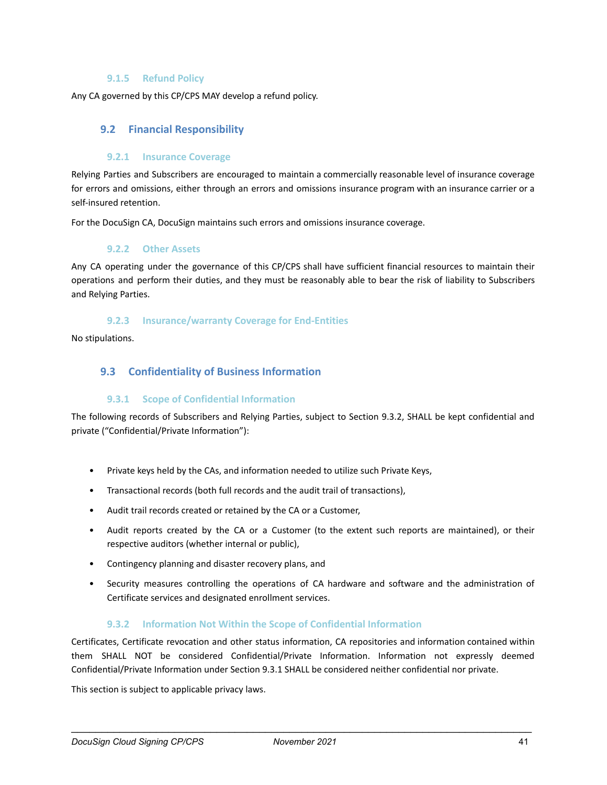#### **9.1.5 Refund Policy**

<span id="page-41-1"></span><span id="page-41-0"></span>Any CA governed by this CP/CPS MAY develop a refund policy.

### **9.2 Financial Responsibility**

#### **9.2.1 Insurance Coverage**

<span id="page-41-2"></span>Relying Parties and Subscribers are encouraged to maintain a commercially reasonable level of insurance coverage for errors and omissions, either through an errors and omissions insurance program with an insurance carrier or a self-insured retention.

<span id="page-41-3"></span>For the DocuSign CA, DocuSign maintains such errors and omissions insurance coverage.

#### **9.2.2 Other Assets**

Any CA operating under the governance of this CP/CPS shall have sufficient financial resources to maintain their operations and perform their duties, and they must be reasonably able to bear the risk of liability to Subscribers and Relying Parties.

#### **9.2.3 Insurance/warranty Coverage for End-Entities**

<span id="page-41-5"></span><span id="page-41-4"></span>No stipulations.

### **9.3 Confidentiality of Business Information**

#### **9.3.1 Scope of Confidential Information**

<span id="page-41-6"></span>The following records of Subscribers and Relying Parties, subject to Section 9.3.2, SHALL be kept confidential and private ("Confidential/Private Information"):

- Private keys held by the CAs, and information needed to utilize such Private Keys,
- Transactional records (both full records and the audit trail of transactions),
- Audit trail records created or retained by the CA or a Customer,
- Audit reports created by the CA or a Customer (to the extent such reports are maintained), or their respective auditors (whether internal or public),
- Contingency planning and disaster recovery plans, and
- Security measures controlling the operations of CA hardware and software and the administration of Certificate services and designated enrollment services.

#### **9.3.2 Information Not Within the Scope of Confidential Information**

<span id="page-41-7"></span>Certificates, Certificate revocation and other status information, CA repositories and information contained within them SHALL NOT be considered Confidential/Private Information. Information not expressly deemed Confidential/Private Information under Section 9.3.1 SHALL be considered neither confidential nor private.

This section is subject to applicable privacy laws.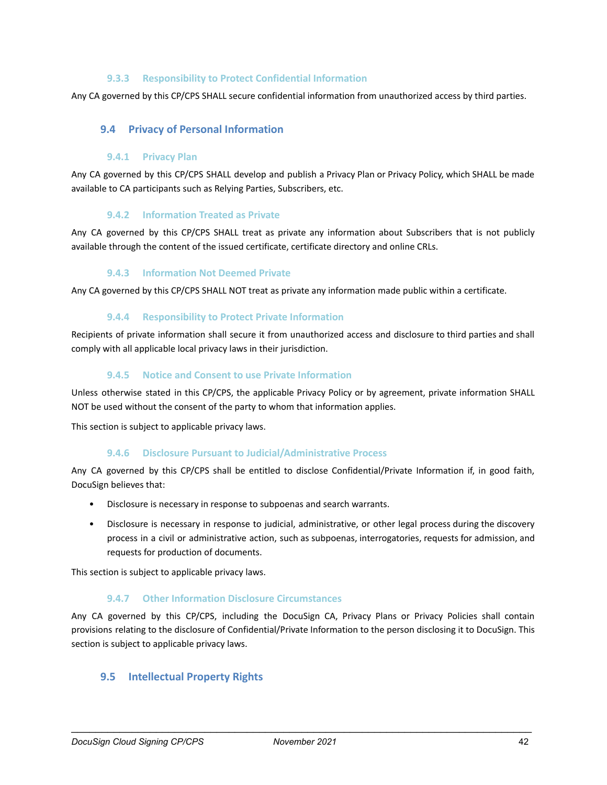#### **9.3.3 Responsibility to Protect Confidential Information**

<span id="page-42-1"></span><span id="page-42-0"></span>Any CA governed by this CP/CPS SHALL secure confidential information from unauthorized access by third parties.

#### **9.4 Privacy of Personal Information**

#### **9.4.1 Privacy Plan**

<span id="page-42-2"></span>Any CA governed by this CP/CPS SHALL develop and publish a Privacy Plan or Privacy Policy, which SHALL be made available to CA participants such as Relying Parties, Subscribers, etc.

#### **9.4.2 Information Treated as Private**

<span id="page-42-3"></span>Any CA governed by this CP/CPS SHALL treat as private any information about Subscribers that is not publicly available through the content of the issued certificate, certificate directory and online CRLs.

#### **9.4.3 Information Not Deemed Private**

<span id="page-42-5"></span><span id="page-42-4"></span>Any CA governed by this CP/CPS SHALL NOT treat as private any information made public within a certificate.

#### **9.4.4 Responsibility to Protect Private Information**

Recipients of private information shall secure it from unauthorized access and disclosure to third parties and shall comply with all applicable local privacy laws in their jurisdiction.

#### **9.4.5 Notice and Consent to use Private Information**

<span id="page-42-6"></span>Unless otherwise stated in this CP/CPS, the applicable Privacy Policy or by agreement, private information SHALL NOT be used without the consent of the party to whom that information applies.

<span id="page-42-7"></span>This section is subject to applicable privacy laws.

#### **9.4.6 Disclosure Pursuant to Judicial/Administrative Process**

Any CA governed by this CP/CPS shall be entitled to disclose Confidential/Private Information if, in good faith, DocuSign believes that:

- Disclosure is necessary in response to subpoenas and search warrants.
- Disclosure is necessary in response to judicial, administrative, or other legal process during the discovery process in a civil or administrative action, such as subpoenas, interrogatories, requests for admission, and requests for production of documents.

<span id="page-42-8"></span>This section is subject to applicable privacy laws.

#### **9.4.7 Other Information Disclosure Circumstances**

Any CA governed by this CP/CPS, including the DocuSign CA, Privacy Plans or Privacy Policies shall contain provisions relating to the disclosure of Confidential/Private Information to the person disclosing it to DocuSign. This section is subject to applicable privacy laws.

#### <span id="page-42-9"></span>**9.5 Intellectual Property Rights**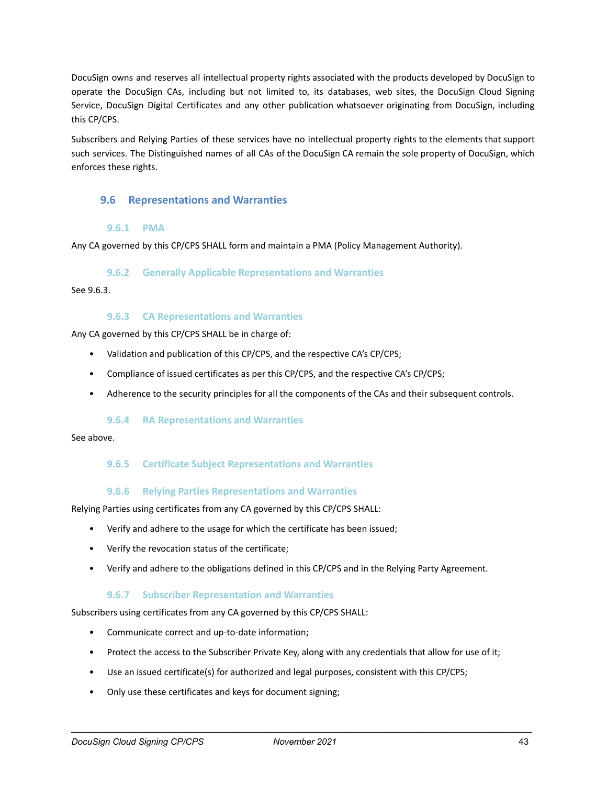DocuSign owns and reserves all intellectual property rights associated with the products developed by DocuSign to operate the DocuSign CAs, including but not limited to, its databases, web sites, the DocuSign Cloud Signing Service, DocuSign Digital Certificates and any other publication whatsoever originating from DocuSign, including this CP/CPS.

Subscribers and Relying Parties of these services have no intellectual property rights to the elements that support such services. The Distinguished names of all CAs of the DocuSign CA remain the sole property of DocuSign, which enforces these rights.

### <span id="page-43-0"></span>**9.6 Representations and Warranties**

### **9.6.1 PMA**

<span id="page-43-2"></span><span id="page-43-1"></span>Any CA governed by this CP/CPS SHALL form and maintain a PMA (Policy Management Authority).

#### **9.6.2 Generally Applicable Representations and Warranties**

<span id="page-43-3"></span>See 9.6.3.

#### **9.6.3 CA Representations and Warranties**

Any CA governed by this CP/CPS SHALL be in charge of:

- Validation and publication of this CP/CPS, and the respective CA's CP/CPS;
- Compliance of issued certificates as per this CP/CPS, and the respective CA's CP/CPS;
- Adherence to the security principles for all the components of the CAs and their subsequent controls.

#### **9.6.4 RA Representations and Warranties**

<span id="page-43-5"></span><span id="page-43-4"></span>See above.

### **9.6.5 Certificate Subject Representations and Warranties**

#### **9.6.6 Relying Parties Representations and Warranties**

<span id="page-43-6"></span>Relying Parties using certificates from any CA governed by this CP/CPS SHALL:

- Verify and adhere to the usage for which the certificate has been issued;
- Verify the revocation status of the certificate;
- <span id="page-43-7"></span>• Verify and adhere to the obligations defined in this CP/CPS and in the Relying Party Agreement.

#### **9.6.7 Subscriber Representation and Warranties**

Subscribers using certificates from any CA governed by this CP/CPS SHALL:

- Communicate correct and up-to-date information;
- Protect the access to the Subscriber Private Key, along with any credentials that allow for use of it;
- Use an issued certificate(s) for authorized and legal purposes, consistent with this CP/CPS;
- Only use these certificates and keys for document signing;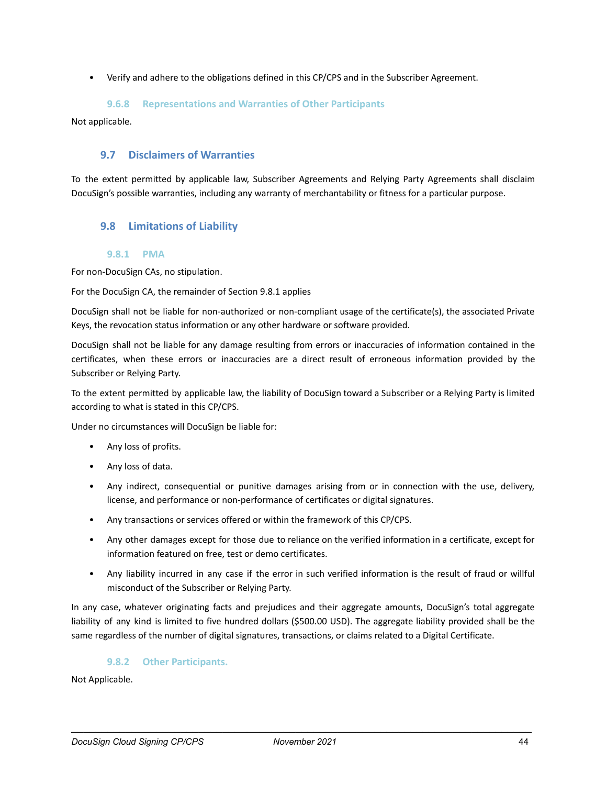<span id="page-44-0"></span>• Verify and adhere to the obligations defined in this CP/CPS and in the Subscriber Agreement.

#### **9.6.8 Representations and Warranties of Other Participants**

<span id="page-44-1"></span>Not applicable.

## **9.7 Disclaimers of Warranties**

To the extent permitted by applicable law, Subscriber Agreements and Relying Party Agreements shall disclaim DocuSign's possible warranties, including any warranty of merchantability or fitness for a particular purpose.

# <span id="page-44-2"></span>**9.8 Limitations of Liability**

#### **9.8.1 PMA**

<span id="page-44-3"></span>For non-DocuSign CAs, no stipulation.

For the DocuSign CA, the remainder of Section 9.8.1 applies

DocuSign shall not be liable for non-authorized or non-compliant usage of the certificate(s), the associated Private Keys, the revocation status information or any other hardware or software provided.

DocuSign shall not be liable for any damage resulting from errors or inaccuracies of information contained in the certificates, when these errors or inaccuracies are a direct result of erroneous information provided by the Subscriber or Relying Party.

To the extent permitted by applicable law, the liability of DocuSign toward a Subscriber or a Relying Party is limited according to what is stated in this CP/CPS.

Under no circumstances will DocuSign be liable for:

- Any loss of profits.
- Any loss of data.
- Any indirect, consequential or punitive damages arising from or in connection with the use, delivery, license, and performance or non-performance of certificates or digital signatures.
- Any transactions or services offered or within the framework of this CP/CPS.
- Any other damages except for those due to reliance on the verified information in a certificate, except for information featured on free, test or demo certificates.
- Any liability incurred in any case if the error in such verified information is the result of fraud or willful misconduct of the Subscriber or Relying Party.

In any case, whatever originating facts and prejudices and their aggregate amounts, DocuSign's total aggregate liability of any kind is limited to five hundred dollars (\$500.00 USD). The aggregate liability provided shall be the same regardless of the number of digital signatures, transactions, or claims related to a Digital Certificate.

#### **9.8.2 Other Participants.**

<span id="page-44-4"></span>Not Applicable.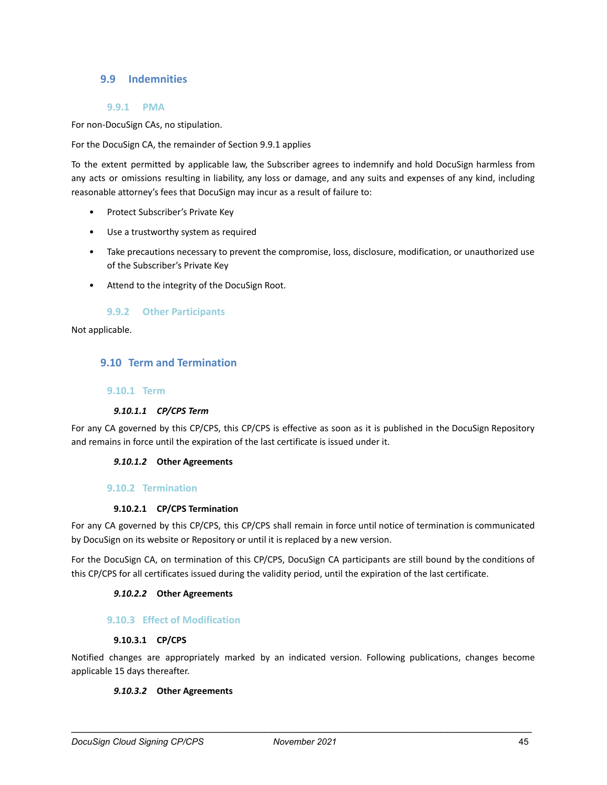## <span id="page-45-0"></span>**9.9 Indemnities**

#### **9.9.1 PMA**

<span id="page-45-1"></span>For non-DocuSign CAs, no stipulation.

For the DocuSign CA, the remainder of Section 9.9.1 applies

To the extent permitted by applicable law, the Subscriber agrees to indemnify and hold DocuSign harmless from any acts or omissions resulting in liability, any loss or damage, and any suits and expenses of any kind, including reasonable attorney's fees that DocuSign may incur as a result of failure to:

- Protect Subscriber's Private Key
- Use a trustworthy system as required
- Take precautions necessary to prevent the compromise, loss, disclosure, modification, or unauthorized use of the Subscriber's Private Key
- <span id="page-45-2"></span>• Attend to the integrity of the DocuSign Root.

#### **9.9.2 Other Participants**

<span id="page-45-3"></span>Not applicable.

#### **9.10 Term and Termination**

#### <span id="page-45-4"></span>**9.10.1 Term**

#### *9.10.1.1 CP/CPS Term*

<span id="page-45-6"></span><span id="page-45-5"></span>For any CA governed by this CP/CPS, this CP/CPS is effective as soon as it is published in the DocuSign Repository and remains in force until the expiration of the last certificate is issued under it.

#### *9.10.1.2* **Other Agreements**

#### <span id="page-45-7"></span>**9.10.2 Termination**

#### **9.10.2.1 CP/CPS Termination**

<span id="page-45-8"></span>For any CA governed by this CP/CPS, this CP/CPS shall remain in force until notice of termination is communicated by DocuSign on its website or Repository or until it is replaced by a new version.

<span id="page-45-9"></span>For the DocuSign CA, on termination of this CP/CPS, DocuSign CA participants are still bound by the conditions of this CP/CPS for all certificates issued during the validity period, until the expiration of the last certificate.

#### *9.10.2.2* **Other Agreements**

#### <span id="page-45-10"></span>**9.10.3 Effect of Modification**

#### **9.10.3.1 CP/CPS**

<span id="page-45-12"></span><span id="page-45-11"></span>Notified changes are appropriately marked by an indicated version. Following publications, changes become applicable 15 days thereafter.

#### *9.10.3.2* **Other Agreements**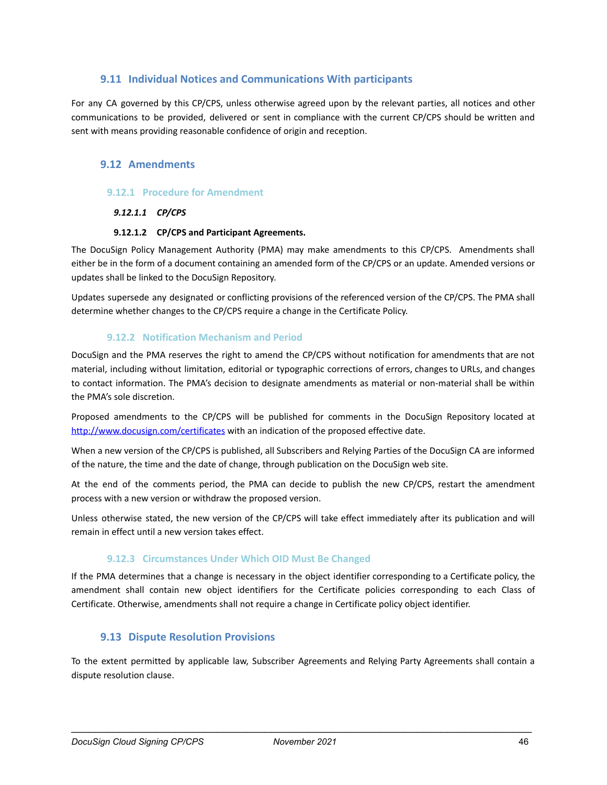# **9.11 Individual Notices and Communications With participants**

<span id="page-46-0"></span>For any CA governed by this CP/CPS, unless otherwise agreed upon by the relevant parties, all notices and other communications to be provided, delivered or sent in compliance with the current CP/CPS should be written and sent with means providing reasonable confidence of origin and reception.

# <span id="page-46-1"></span>**9.12 Amendments**

#### <span id="page-46-3"></span><span id="page-46-2"></span>**9.12.1 Procedure for Amendment**

#### *9.12.1.1 CP/CPS*

#### **9.12.1.2 CP/CPS and Participant Agreements.**

<span id="page-46-4"></span>The DocuSign Policy Management Authority (PMA) may make amendments to this CP/CPS. Amendments shall either be in the form of a document containing an amended form of the CP/CPS or an update. Amended versions or updates shall be linked to the DocuSign Repository.

Updates supersede any designated or conflicting provisions of the referenced version of the CP/CPS. The PMA shall determine whether changes to the CP/CPS require a change in the Certificate Policy.

#### **9.12.2 Notification Mechanism and Period**

<span id="page-46-5"></span>DocuSign and the PMA reserves the right to amend the CP/CPS without notification for amendments that are not material, including without limitation, editorial or typographic corrections of errors, changes to URLs, and changes to contact information. The PMA's decision to designate amendments as material or non-material shall be within the PMA's sole discretion.

Proposed amendments to the CP/CPS will be published for comments in the DocuSign Repository located at <http://www.docusign.com/certificates> with an indication of the proposed effective date.

When a new version of the CP/CPS is published, all Subscribers and Relying Parties of the DocuSign CA are informed of the nature, the time and the date of change, through publication on the DocuSign web site.

At the end of the comments period, the PMA can decide to publish the new CP/CPS, restart the amendment process with a new version or withdraw the proposed version.

Unless otherwise stated, the new version of the CP/CPS will take effect immediately after its publication and will remain in effect until a new version takes effect.

#### **9.12.3 Circumstances Under Which OID Must Be Changed**

<span id="page-46-6"></span>If the PMA determines that a change is necessary in the object identifier corresponding to a Certificate policy, the amendment shall contain new object identifiers for the Certificate policies corresponding to each Class of Certificate. Otherwise, amendments shall not require a change in Certificate policy object identifier.

### <span id="page-46-7"></span>**9.13 Dispute Resolution Provisions**

To the extent permitted by applicable law, Subscriber Agreements and Relying Party Agreements shall contain a dispute resolution clause.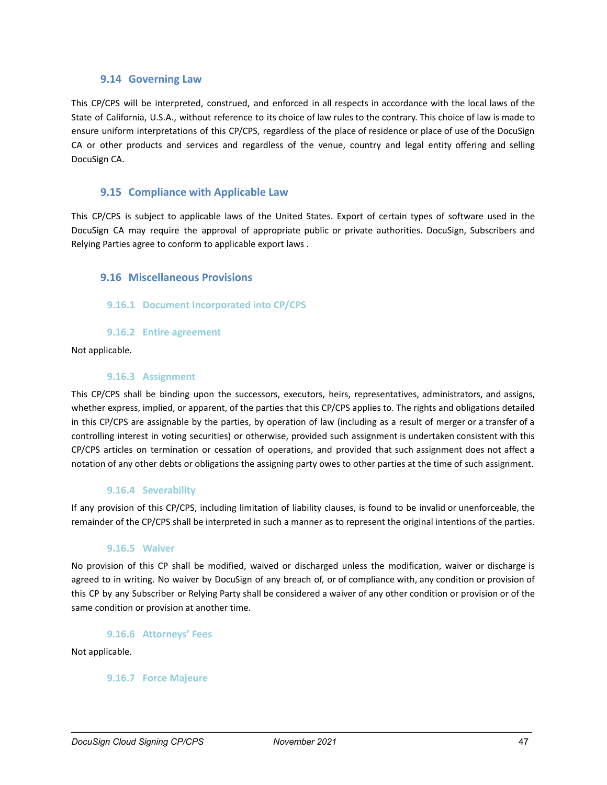#### **9.14 Governing Law**

<span id="page-47-0"></span>This CP/CPS will be interpreted, construed, and enforced in all respects in accordance with the local laws of the State of California, U.S.A., without reference to its choice of law rules to the contrary. This choice of law is made to ensure uniform interpretations of this CP/CPS, regardless of the place of residence or place of use of the DocuSign CA or other products and services and regardless of the venue, country and legal entity offering and selling DocuSign CA.

#### <span id="page-47-1"></span>**9.15 Compliance with Applicable Law**

This CP/CPS is subject to applicable laws of the United States. Export of certain types of software used in the DocuSign CA may require the approval of appropriate public or private authorities. DocuSign, Subscribers and Relying Parties agree to conform to applicable export laws .

#### <span id="page-47-2"></span>**9.16 Miscellaneous Provisions**

#### <span id="page-47-3"></span>**9.16.1 Document Incorporated into CP/CPS**

**9.16.2 Entire agreement**

<span id="page-47-5"></span><span id="page-47-4"></span>Not applicable.

#### **9.16.3 Assignment**

This CP/CPS shall be binding upon the successors, executors, heirs, representatives, administrators, and assigns, whether express, implied, or apparent, of the parties that this CP/CPS applies to. The rights and obligations detailed in this CP/CPS are assignable by the parties, by operation of law (including as a result of merger or a transfer of a controlling interest in voting securities) or otherwise, provided such assignment is undertaken consistent with this CP/CPS articles on termination or cessation of operations, and provided that such assignment does not affect a notation of any other debts or obligations the assigning party owes to other parties at the time of such assignment.

#### **9.16.4 Severability**

<span id="page-47-6"></span>If any provision of this CP/CPS, including limitation of liability clauses, is found to be invalid or unenforceable, the remainder of the CP/CPS shall be interpreted in such a manner as to represent the original intentions of the parties.

#### **9.16.5 Waiver**

<span id="page-47-7"></span>No provision of this CP shall be modified, waived or discharged unless the modification, waiver or discharge is agreed to in writing. No waiver by DocuSign of any breach of, or of compliance with, any condition or provision of this CP by any Subscriber or Relying Party shall be considered a waiver of any other condition or provision or of the same condition or provision at another time.

**9.16.6 Attorneys' Fees**

<span id="page-47-9"></span><span id="page-47-8"></span>Not applicable.

#### **9.16.7 Force Majeure**